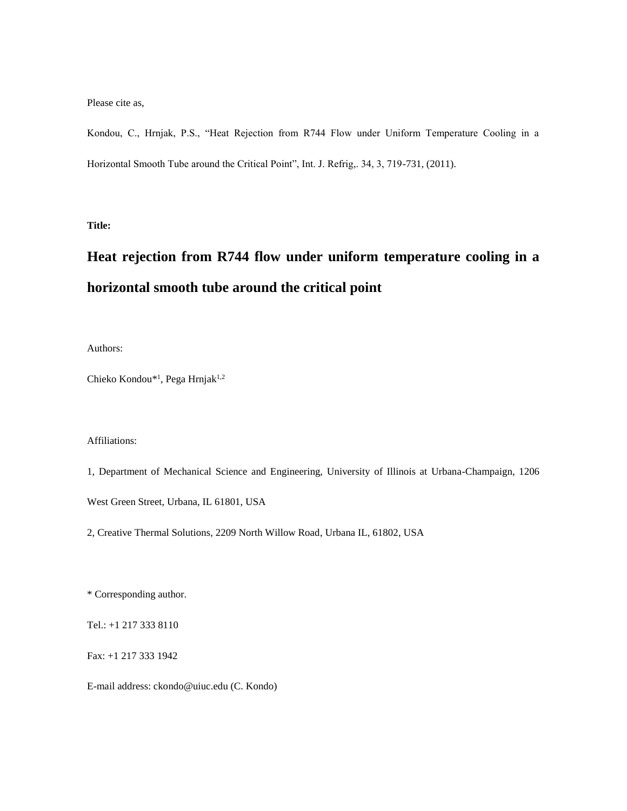Please cite as,

Kondou, C., Hrnjak, P.S., "Heat Rejection from R744 Flow under Uniform Temperature Cooling in a Horizontal Smooth Tube around the Critical Point", Int. J. Refrig,. 34, 3, 719-731, (2011).

**Title:**

# **Heat rejection from R744 flow under uniform temperature cooling in a horizontal smooth tube around the critical point**

Authors:

Chieko Kondou<sup>\*1</sup>, Pega Hrnjak<sup>1,2</sup>

#### Affiliations:

1, Department of Mechanical Science and Engineering, University of Illinois at Urbana-Champaign, 1206

West Green Street, Urbana, IL 61801, USA

2, Creative Thermal Solutions, 2209 North Willow Road, Urbana IL, 61802, USA

\* Corresponding author.

Tel.: +1 217 333 8110

Fax: +1 217 333 1942

E-mail address: ckondo@uiuc.edu (C. Kondo)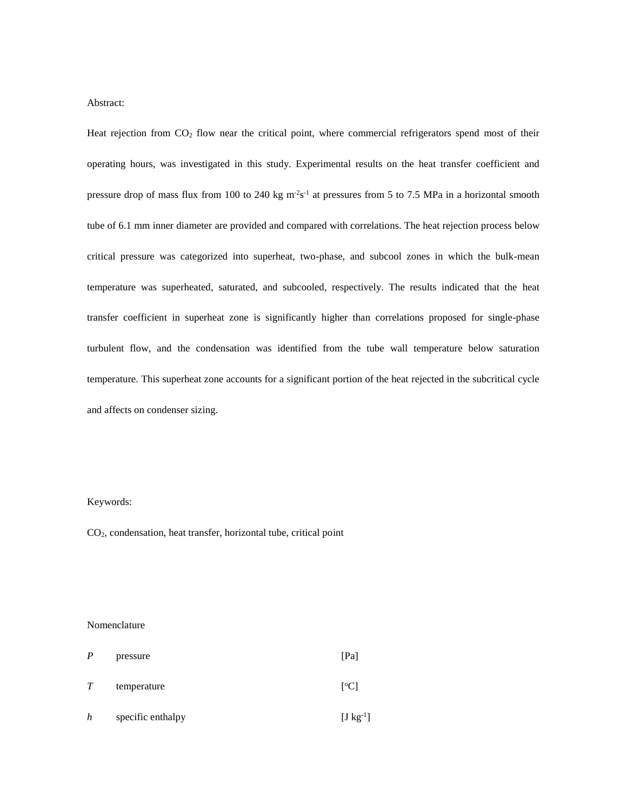Abstract:

Heat rejection from CO<sub>2</sub> flow near the critical point, where commercial refrigerators spend most of their operating hours, was investigated in this study. Experimental results on the heat transfer coefficient and pressure drop of mass flux from 100 to 240 kg  $m^2s^{-1}$  at pressures from 5 to 7.5 MPa in a horizontal smooth tube of 6.1 mm inner diameter are provided and compared with correlations. The heat rejection process below critical pressure was categorized into superheat, two-phase, and subcool zones in which the bulk-mean temperature was superheated, saturated, and subcooled, respectively. The results indicated that the heat transfer coefficient in superheat zone is significantly higher than correlations proposed for single-phase turbulent flow, and the condensation was identified from the tube wall temperature below saturation temperature. This superheat zone accounts for a significant portion of the heat rejected in the subcritical cycle and affects on condenser sizing.

#### Keywords:

CO2, condensation, heat transfer, horizontal tube, critical point

#### Nomenclature

| $\boldsymbol{P}$ | pressure          | [Pa]                  |
|------------------|-------------------|-----------------------|
| T                | temperature       | [°C]                  |
| h                | specific enthalpy | $[J \text{ kg}^{-1}]$ |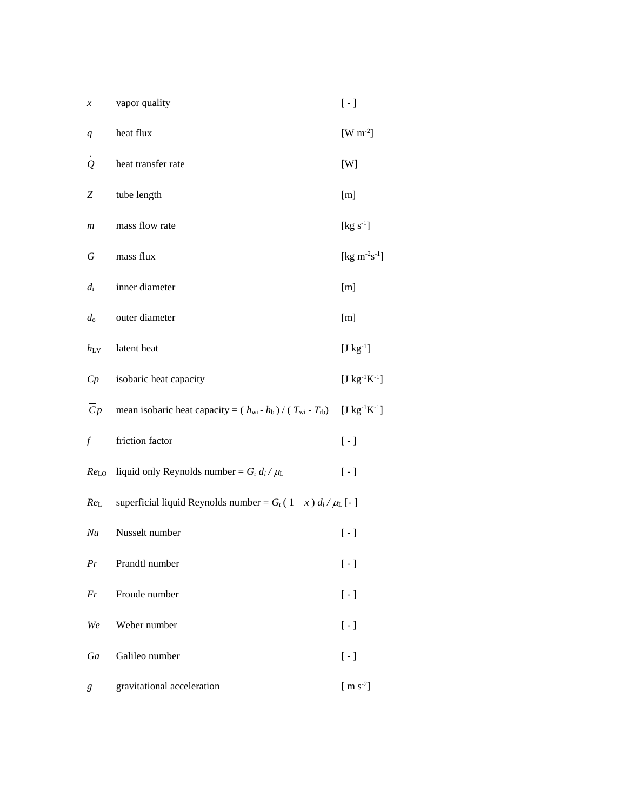| $\boldsymbol{x}$ | vapor quality                                                      | $\left[\begin{array}{c} -\end{array}\right]$  |
|------------------|--------------------------------------------------------------------|-----------------------------------------------|
| q                | heat flux                                                          | $[W \, m^{-2}]$                               |
| $\mathcal{Q}$    | heat transfer rate                                                 | [W]                                           |
| Z                | tube length                                                        | [m]                                           |
| m                | mass flow rate                                                     | [ $kg s^{-1}$ ]                               |
| G                | mass flux                                                          | [kg m <sup>-2</sup> s <sup>-1</sup> ]         |
| $d_{\rm i}$      | inner diameter                                                     | [m]                                           |
| $d_{\rm o}$      | outer diameter                                                     | [m]                                           |
| $h_{\rm LV}$     | latent heat                                                        | $[J~\mathrm{kg}^{\text{-}1}]$                 |
| Cp               | isobaric heat capacity                                             | $[J \, kg^{-1}K^{-1}]$                        |
| Cp               | mean isobaric heat capacity = $(h_{wi} - h_b) / (T_{wi} - T_{rb})$ | $[J \, kg^{-1}K^{-1}]$                        |
| $\int$           | friction factor                                                    | $\left[\begin{array}{c} - \end{array}\right]$ |
| $Re_{LO}$        | liquid only Reynolds number = $G_r d_i / \mu_L$                    | $\left[ -\right]$                             |
| Re <sub>L</sub>  | superficial liquid Reynolds number = $G_r(1-x) d_i / \mu_L$ [-]    |                                               |
| Nu               | Nusselt number                                                     | $\left[ -\right]$                             |
| Pr               | Prandtl number                                                     | $\left[\begin{array}{c} -\end{array}\right]$  |
| Fr               | Froude number                                                      | $\left[ -\right]$                             |
| We               | Weber number                                                       | $\left[ -\right]$                             |
| Ga               | Galileo number                                                     | $\left[ -\right]$                             |
| g                | gravitational acceleration                                         | [ $m s-2$ ]                                   |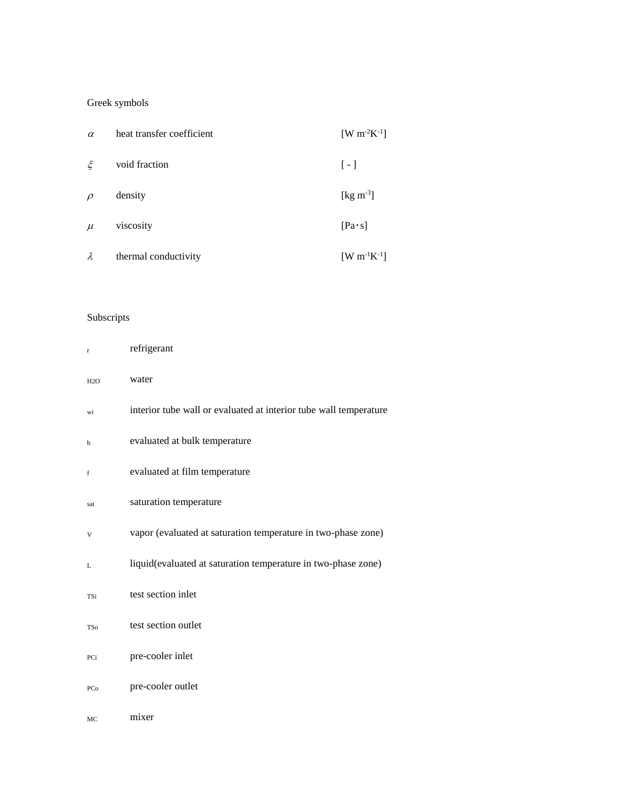# Greek symbols

| $\alpha$  | heat transfer coefficient | [W m <sup>-2</sup> K <sup>-1</sup> ] |
|-----------|---------------------------|--------------------------------------|
| $\xi$     | void fraction             | $[-]$                                |
| $\rho$    | density                   | [ $kg \, \text{m}^{-3}$ ]            |
| $\mu$     | viscosity                 | $[Pa \cdot s]$                       |
| $\lambda$ | thermal conductivity      | [W m <sup>-1</sup> K <sup>-1</sup> ] |

# Subscripts

| r   | refrigerant                                                       |
|-----|-------------------------------------------------------------------|
| H2O | water                                                             |
| wi  | interior tube wall or evaluated at interior tube wall temperature |
| b   | evaluated at bulk temperature                                     |
| f   | evaluated at film temperature                                     |
| sat | saturation temperature                                            |
| V   | vapor (evaluated at saturation temperature in two-phase zone)     |
| L   | liquid(evaluated at saturation temperature in two-phase zone)     |
| TSi | test section inlet                                                |
| TSo | test section outlet                                               |
| PCi | pre-cooler inlet                                                  |
| PCo | pre-cooler outlet                                                 |
|     |                                                                   |

MC mixer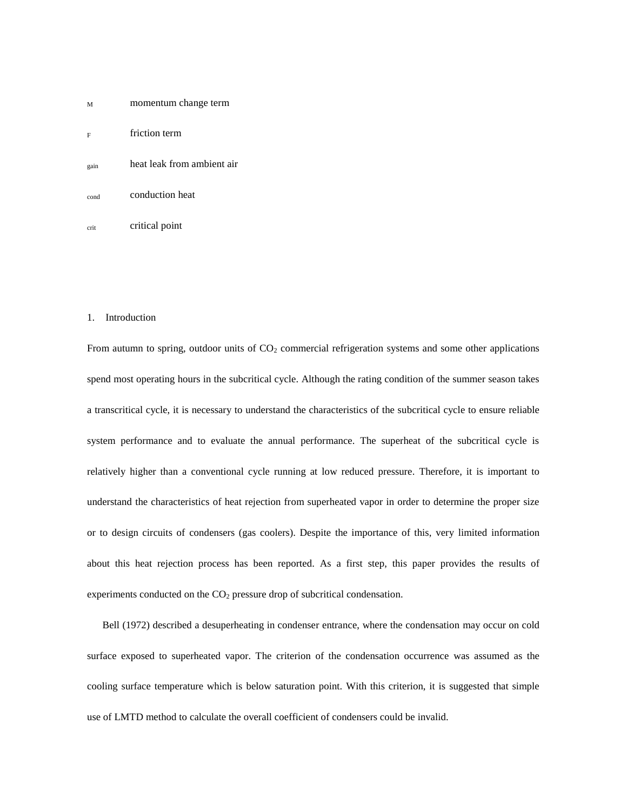#### <sup>M</sup> momentum change term

 $F \t\t$  friction term

gain heat leak from ambient air

cond conduction heat

crit critical point

#### 1. Introduction

From autumn to spring, outdoor units of CO<sub>2</sub> commercial refrigeration systems and some other applications spend most operating hours in the subcritical cycle. Although the rating condition of the summer season takes a transcritical cycle, it is necessary to understand the characteristics of the subcritical cycle to ensure reliable system performance and to evaluate the annual performance. The superheat of the subcritical cycle is relatively higher than a conventional cycle running at low reduced pressure. Therefore, it is important to understand the characteristics of heat rejection from superheated vapor in order to determine the proper size or to design circuits of condensers (gas coolers). Despite the importance of this, very limited information about this heat rejection process has been reported. As a first step, this paper provides the results of experiments conducted on the  $CO<sub>2</sub>$  pressure drop of subcritical condensation.

Bell (1972) described a desuperheating in condenser entrance, where the condensation may occur on cold surface exposed to superheated vapor. The criterion of the condensation occurrence was assumed as the cooling surface temperature which is below saturation point. With this criterion, it is suggested that simple use of LMTD method to calculate the overall coefficient of condensers could be invalid.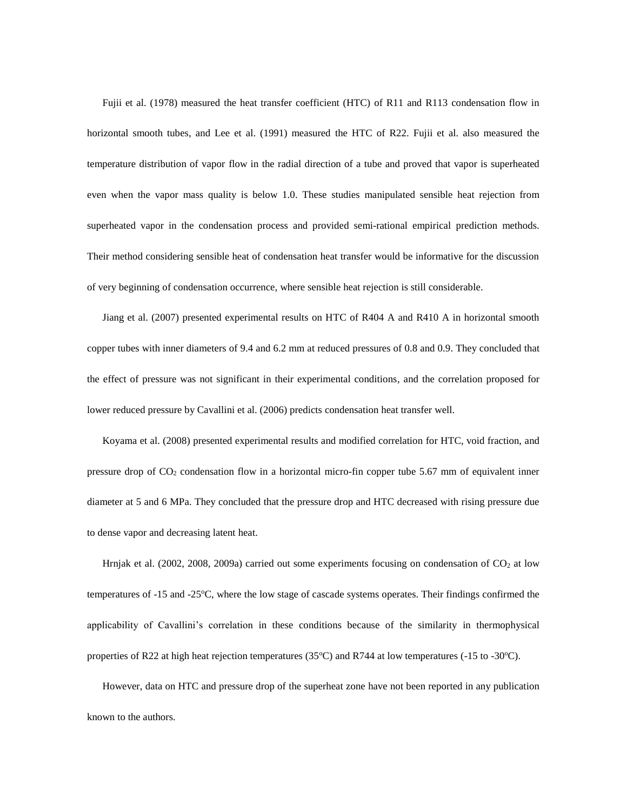Fujii et al. (1978) measured the heat transfer coefficient (HTC) of R11 and R113 condensation flow in horizontal smooth tubes, and Lee et al. (1991) measured the HTC of R22. Fujii et al. also measured the temperature distribution of vapor flow in the radial direction of a tube and proved that vapor is superheated even when the vapor mass quality is below 1.0. These studies manipulated sensible heat rejection from superheated vapor in the condensation process and provided semi-rational empirical prediction methods. Their method considering sensible heat of condensation heat transfer would be informative for the discussion of very beginning of condensation occurrence, where sensible heat rejection is still considerable.

Jiang et al. (2007) presented experimental results on HTC of R404 A and R410 A in horizontal smooth copper tubes with inner diameters of 9.4 and 6.2 mm at reduced pressures of 0.8 and 0.9. They concluded that the effect of pressure was not significant in their experimental conditions, and the correlation proposed for lower reduced pressure by Cavallini et al. (2006) predicts condensation heat transfer well.

Koyama et al. (2008) presented experimental results and modified correlation for HTC, void fraction, and pressure drop of  $CO<sub>2</sub>$  condensation flow in a horizontal micro-fin copper tube 5.67 mm of equivalent inner diameter at 5 and 6 MPa. They concluded that the pressure drop and HTC decreased with rising pressure due to dense vapor and decreasing latent heat.

Hrnjak et al. (2002, 2008, 2009a) carried out some experiments focusing on condensation of CO<sub>2</sub> at low temperatures of  $-15$  and  $-25^{\circ}$ C, where the low stage of cascade systems operates. Their findings confirmed the applicability of Cavallini's correlation in these conditions because of the similarity in thermophysical properties of R22 at high heat rejection temperatures (35 $^{\circ}$ C) and R744 at low temperatures (-15 to -30 $^{\circ}$ C).

However, data on HTC and pressure drop of the superheat zone have not been reported in any publication known to the authors.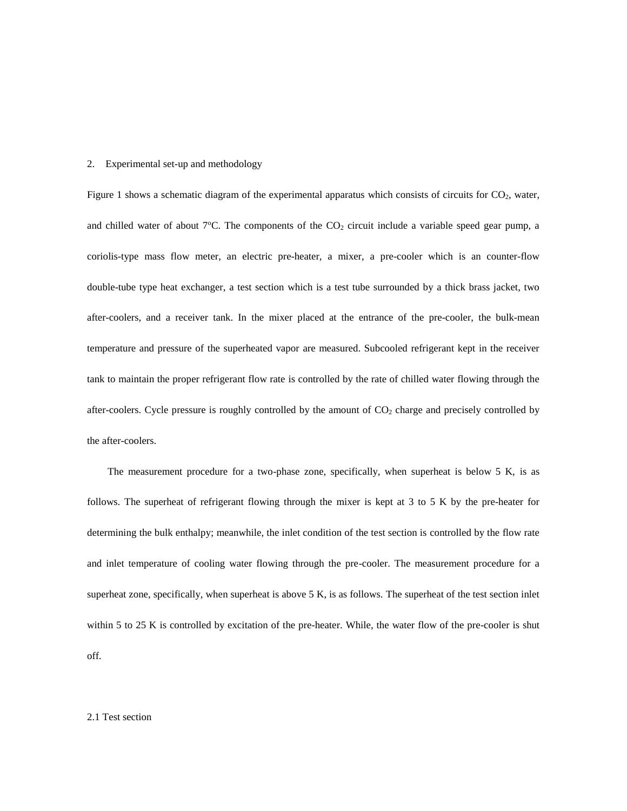#### 2. Experimental set-up and methodology

Figure 1 shows a schematic diagram of the experimental apparatus which consists of circuits for CO<sub>2</sub>, water, and chilled water of about  $7^{\circ}$ C. The components of the CO<sub>2</sub> circuit include a variable speed gear pump, a coriolis-type mass flow meter, an electric pre-heater, a mixer, a pre-cooler which is an counter-flow double-tube type heat exchanger, a test section which is a test tube surrounded by a thick brass jacket, two after-coolers, and a receiver tank. In the mixer placed at the entrance of the pre-cooler, the bulk-mean temperature and pressure of the superheated vapor are measured. Subcooled refrigerant kept in the receiver tank to maintain the proper refrigerant flow rate is controlled by the rate of chilled water flowing through the after-coolers. Cycle pressure is roughly controlled by the amount of  $CO<sub>2</sub>$  charge and precisely controlled by the after-coolers.

The measurement procedure for a two-phase zone, specifically, when superheat is below 5 K, is as follows. The superheat of refrigerant flowing through the mixer is kept at 3 to 5 K by the pre-heater for determining the bulk enthalpy; meanwhile, the inlet condition of the test section is controlled by the flow rate and inlet temperature of cooling water flowing through the pre-cooler. The measurement procedure for a superheat zone, specifically, when superheat is above 5 K, is as follows. The superheat of the test section inlet within 5 to 25 K is controlled by excitation of the pre-heater. While, the water flow of the pre-cooler is shut off.

#### 2.1 Test section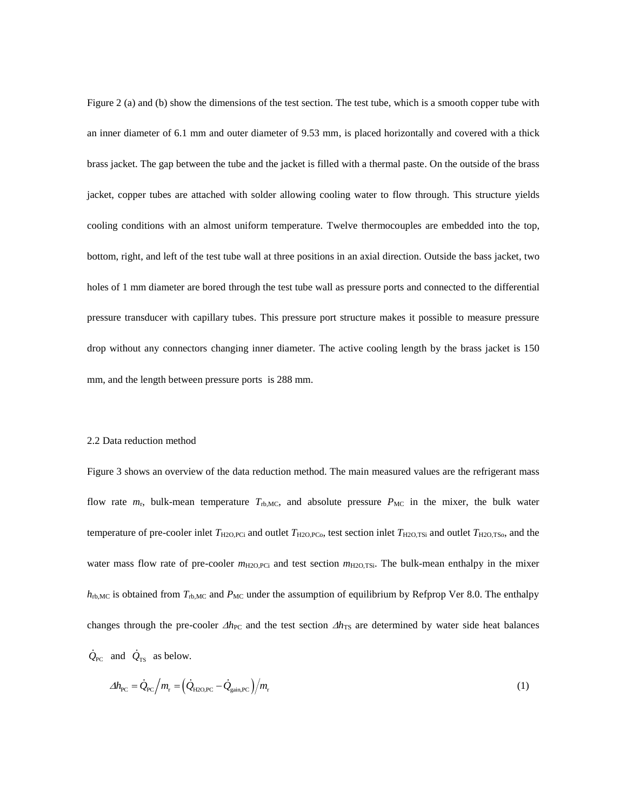Figure 2 (a) and (b) show the dimensions of the test section. The test tube, which is a smooth copper tube with an inner diameter of 6.1 mm and outer diameter of 9.53 mm, is placed horizontally and covered with a thick brass jacket. The gap between the tube and the jacket is filled with a thermal paste. On the outside of the brass jacket, copper tubes are attached with solder allowing cooling water to flow through. This structure yields cooling conditions with an almost uniform temperature. Twelve thermocouples are embedded into the top, bottom, right, and left of the test tube wall at three positions in an axial direction. Outside the bass jacket, two holes of 1 mm diameter are bored through the test tube wall as pressure ports and connected to the differential pressure transducer with capillary tubes. This pressure port structure makes it possible to measure pressure drop without any connectors changing inner diameter. The active cooling length by the brass jacket is 150 mm, and the length between pressure ports is 288 mm.

#### 2.2 Data reduction method

Figure 3 shows an overview of the data reduction method. The main measured values are the refrigerant mass flow rate  $m_r$ , bulk-mean temperature  $T_{\text{rb,MC}}$ , and absolute pressure  $P_{\text{MC}}$  in the mixer, the bulk water temperature of pre-cooler inlet  $T_{\text{H2O,PCi}}$  and outlet  $T_{\text{H2O,PCo}}$ , test section inlet  $T_{\text{H2O,TSi}}$  and outlet  $T_{\text{H2O,TSo}}$ , and the water mass flow rate of pre-cooler  $m_{\text{H2O,PGi}}$  and test section  $m_{\text{H2O,TSi}}$ . The bulk-mean enthalpy in the mixer  $h_{\text{rb,MC}}$  is obtained from  $T_{\text{rb,MC}}$  and  $P_{\text{MC}}$  under the assumption of equilibrium by Refprop Ver 8.0. The enthalpy changes through the pre-cooler  $\Delta h_{\text{PC}}$  and the test section  $\Delta h_{\text{TS}}$  are determined by water side heat balances  $Q_{\text{PC}}$  and  $Q_{\text{TS}}$  as below.

$$
\Delta h_{\rm PC} = \dot{Q}_{\rm PC} / m_{\rm r} = \left( \dot{Q}_{\rm H2O,PC} - \dot{Q}_{\rm gain,PC} \right) / m_{\rm r} \tag{1}
$$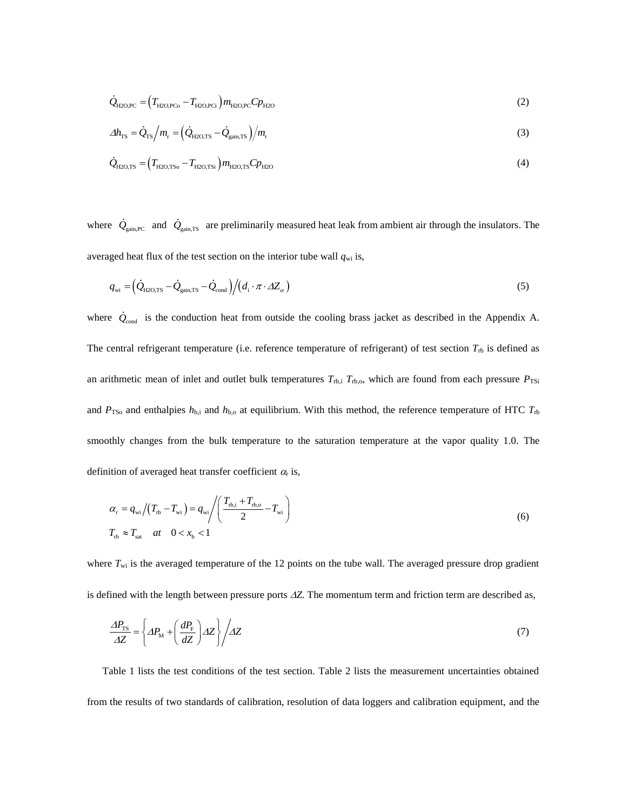$$
\dot{Q}_{\text{H2O,PC}} = \left(T_{\text{H2O,PCo}} - T_{\text{H2O,PCi}}\right) m_{\text{H2O,PC}} C p_{\text{H2O}} \tag{2}
$$

$$
\Delta h_{\rm TS} = \dot{Q}_{\rm TS} / m_{\rm r} = \left( \dot{Q}_{\rm H2O, TS} - \dot{Q}_{\rm gain, TS} \right) / m_{\rm r} \tag{3}
$$

$$
\dot{Q}_{\text{H2O,TS}} = (T_{\text{H2O,TSo}} - T_{\text{H2O,TSi}})m_{\text{H2O,TS}}C p_{\text{H2O}} \tag{4}
$$

where  $Q_{\text{gain,PC}}$  and  $Q_{\text{gain,TS}}$  are preliminarily measured heat leak from ambient air through the insulators. The averaged heat flux of the test section on the interior tube wall  $q_{wi}$  is,

$$
q_{\rm wi} = \left(\dot{Q}_{\rm H2O,TS} - \dot{Q}_{\rm gain,TS} - \dot{Q}_{\rm cond}\right) / \left(d_{\rm i} \cdot \pi \cdot \Delta Z_{\alpha}\right)
$$
\n(5)

where  $Q_{\text{cond}}$  is the conduction heat from outside the cooling brass jacket as described in the Appendix A. The central refrigerant temperature (i.e. reference temperature of refrigerant) of test section  $T_{\text{rb}}$  is defined as an arithmetic mean of inlet and outlet bulk temperatures  $T_{rb,i}$ ,  $T_{rb,0}$ , which are found from each pressure  $P_{TSi}$ and  $P_{\text{TSo}}$  and enthalpies  $h_{\text{b,i}}$  and  $h_{\text{b,o}}$  at equilibrium. With this method, the reference temperature of HTC  $T_{\text{rb}}$ smoothly changes from the bulk temperature to the saturation temperature at the vapor quality 1.0. The definition of averaged heat transfer coefficient  $\alpha_r$  is,

$$
\alpha_{\rm r} = q_{\rm wi} / (T_{\rm rb} - T_{\rm wi}) = q_{\rm wi} / \left( \frac{T_{\rm rb,i} + T_{\rm rb,o}}{2} - T_{\rm wi} \right)
$$
\n(6)

where  $T_{\text{wi}}$  is the averaged temperature of the 12 points on the tube wall. The averaged pressure drop gradient is defined with the length between pressure ports  $\Delta Z$ . The momentum term and friction term are described as,

$$
\frac{\Delta P_{\rm TS}}{\Delta Z} = \left\{ \Delta P_{\rm M} + \left( \frac{dP_{\rm F}}{dZ} \right) \Delta Z \right\} / \Delta Z \tag{7}
$$

Table 1 lists the test conditions of the test section. Table 2 lists the measurement uncertainties obtained from the results of two standards of calibration, resolution of data loggers and calibration equipment, and the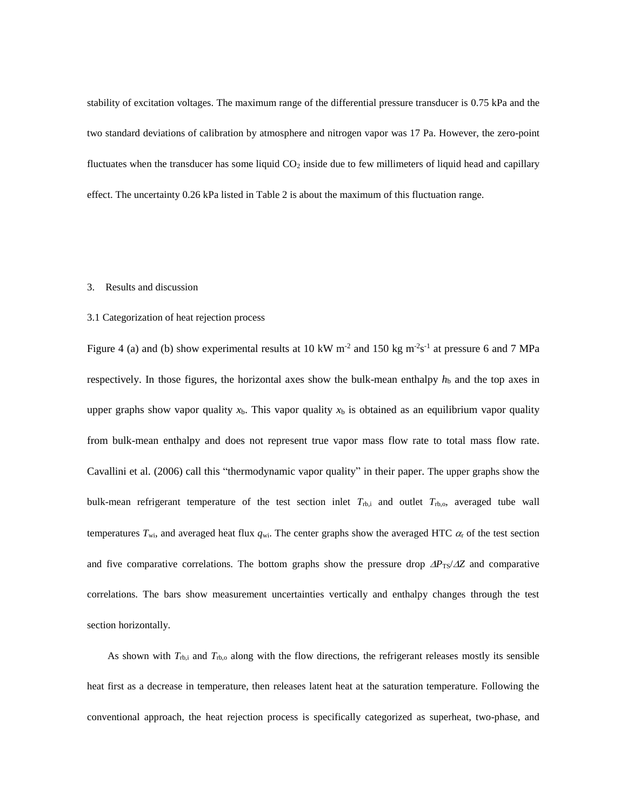stability of excitation voltages. The maximum range of the differential pressure transducer is 0.75 kPa and the two standard deviations of calibration by atmosphere and nitrogen vapor was 17 Pa. However, the zero-point fluctuates when the transducer has some liquid  $CO<sub>2</sub>$  inside due to few millimeters of liquid head and capillary effect. The uncertainty 0.26 kPa listed in Table 2 is about the maximum of this fluctuation range.

#### 3. Results and discussion

#### 3.1 Categorization of heat rejection process

Figure 4 (a) and (b) show experimental results at 10 kW  $m<sup>-2</sup>$  and 150 kg  $m<sup>-2</sup>s<sup>-1</sup>$  at pressure 6 and 7 MPa respectively. In those figures, the horizontal axes show the bulk-mean enthalpy  $h<sub>b</sub>$  and the top axes in upper graphs show vapor quality  $x<sub>b</sub>$ . This vapor quality  $x<sub>b</sub>$  is obtained as an equilibrium vapor quality from bulk-mean enthalpy and does not represent true vapor mass flow rate to total mass flow rate. Cavallini et al. (2006) call this "thermodynamic vapor quality" in their paper. The upper graphs show the bulk-mean refrigerant temperature of the test section inlet  $T_{rb,i}$  and outlet  $T_{rb,o}$ , averaged tube wall temperatures  $T_{wi}$ , and averaged heat flux  $q_{wi}$ . The center graphs show the averaged HTC  $\alpha$ <sub>r</sub> of the test section and five comparative correlations. The bottom graphs show the pressure drop  $\Delta P_{\text{TS}}/\Delta Z$  and comparative correlations. The bars show measurement uncertainties vertically and enthalpy changes through the test section horizontally.

As shown with  $T_{rb,i}$  and  $T_{rb,o}$  along with the flow directions, the refrigerant releases mostly its sensible heat first as a decrease in temperature, then releases latent heat at the saturation temperature. Following the conventional approach, the heat rejection process is specifically categorized as superheat, two-phase, and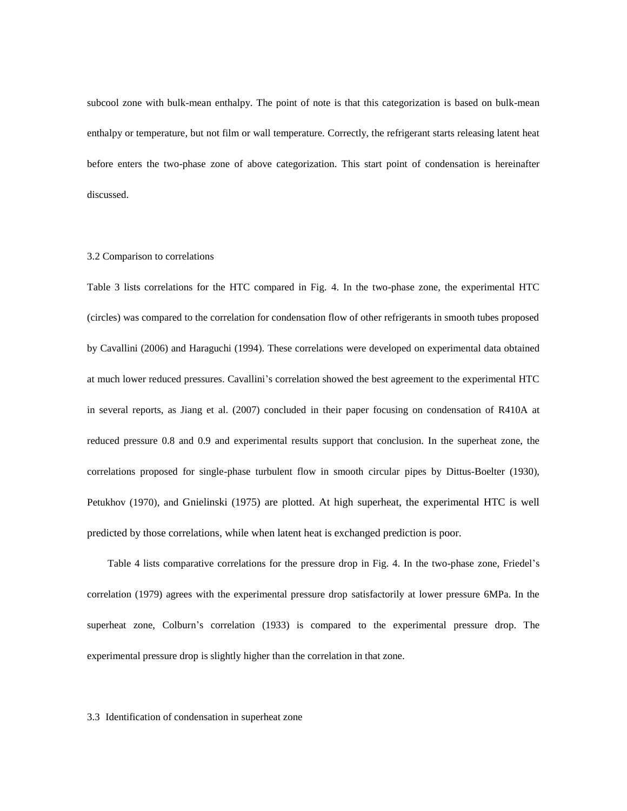subcool zone with bulk-mean enthalpy. The point of note is that this categorization is based on bulk-mean enthalpy or temperature, but not film or wall temperature. Correctly, the refrigerant starts releasing latent heat before enters the two-phase zone of above categorization. This start point of condensation is hereinafter discussed.

#### 3.2 Comparison to correlations

Table 3 lists correlations for the HTC compared in Fig. 4. In the two-phase zone, the experimental HTC (circles) was compared to the correlation for condensation flow of other refrigerants in smooth tubes proposed by Cavallini (2006) and Haraguchi (1994). These correlations were developed on experimental data obtained at much lower reduced pressures. Cavallini's correlation showed the best agreement to the experimental HTC in several reports, as Jiang et al. (2007) concluded in their paper focusing on condensation of R410A at reduced pressure 0.8 and 0.9 and experimental results support that conclusion. In the superheat zone, the correlations proposed for single-phase turbulent flow in smooth circular pipes by Dittus-Boelter (1930), Petukhov (1970), and Gnielinski (1975) are plotted. At high superheat, the experimental HTC is well predicted by those correlations, while when latent heat is exchanged prediction is poor.

Table 4 lists comparative correlations for the pressure drop in Fig. 4. In the two-phase zone, Friedel's correlation (1979) agrees with the experimental pressure drop satisfactorily at lower pressure 6MPa. In the superheat zone, Colburn's correlation (1933) is compared to the experimental pressure drop. The experimental pressure drop is slightly higher than the correlation in that zone.

#### 3.3 Identification of condensation in superheat zone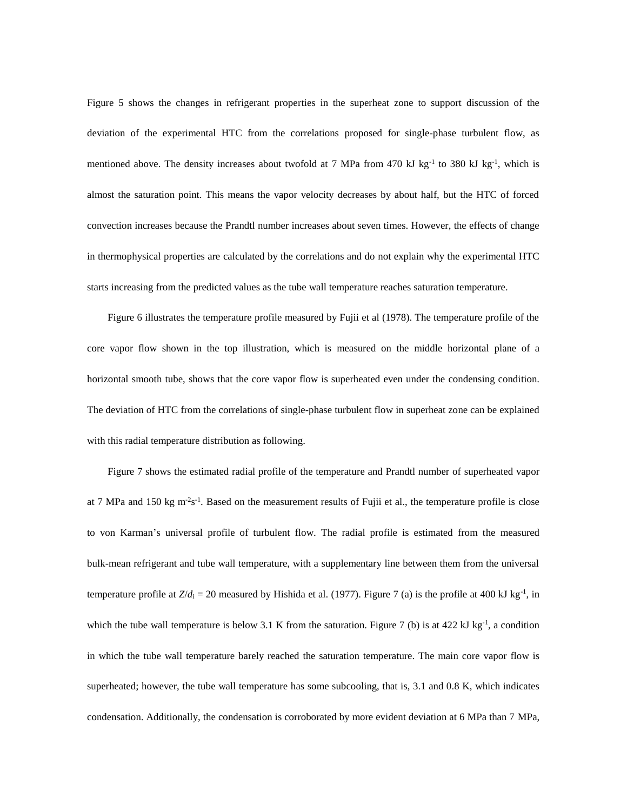Figure 5 shows the changes in refrigerant properties in the superheat zone to support discussion of the deviation of the experimental HTC from the correlations proposed for single-phase turbulent flow, as mentioned above. The density increases about twofold at 7 MPa from 470 kJ kg<sup>-1</sup> to 380 kJ kg<sup>-1</sup>, which is almost the saturation point. This means the vapor velocity decreases by about half, but the HTC of forced convection increases because the Prandtl number increases about seven times. However, the effects of change in thermophysical properties are calculated by the correlations and do not explain why the experimental HTC starts increasing from the predicted values as the tube wall temperature reaches saturation temperature.

Figure 6 illustrates the temperature profile measured by Fujii et al (1978). The temperature profile of the core vapor flow shown in the top illustration, which is measured on the middle horizontal plane of a horizontal smooth tube, shows that the core vapor flow is superheated even under the condensing condition. The deviation of HTC from the correlations of single-phase turbulent flow in superheat zone can be explained with this radial temperature distribution as following.

Figure 7 shows the estimated radial profile of the temperature and Prandtl number of superheated vapor at 7 MPa and 150 kg m<sup>-2</sup>s<sup>-1</sup>. Based on the measurement results of Fujii et al., the temperature profile is close to von Karman's universal profile of turbulent flow. The radial profile is estimated from the measured bulk-mean refrigerant and tube wall temperature, with a supplementary line between them from the universal temperature profile at  $Z/d_i = 20$  measured by Hishida et al. (1977). Figure 7 (a) is the profile at 400 kJ kg<sup>-1</sup>, in which the tube wall temperature is below 3.1 K from the saturation. Figure 7 (b) is at 422 kJ kg<sup>-1</sup>, a condition in which the tube wall temperature barely reached the saturation temperature. The main core vapor flow is superheated; however, the tube wall temperature has some subcooling, that is, 3.1 and 0.8 K, which indicates condensation. Additionally, the condensation is corroborated by more evident deviation at 6 MPa than 7 MPa,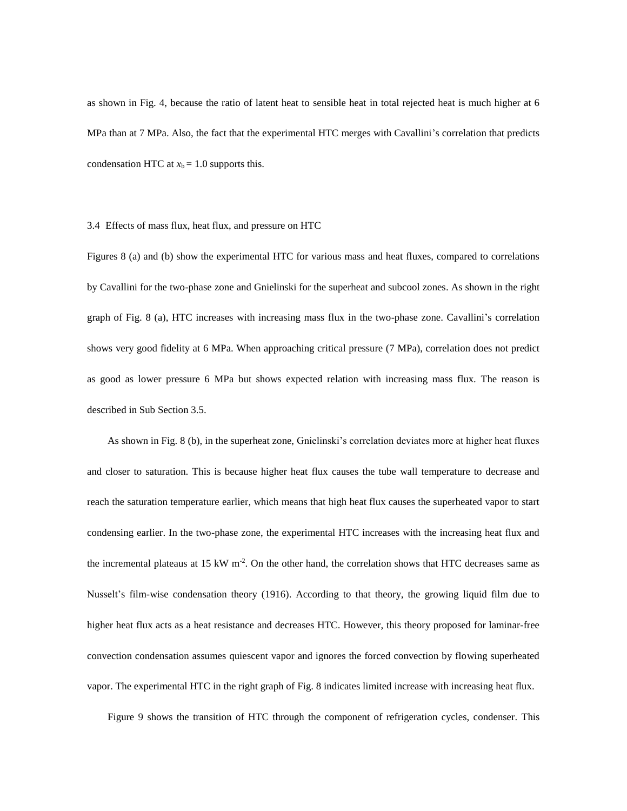as shown in Fig. 4, because the ratio of latent heat to sensible heat in total rejected heat is much higher at 6 MPa than at 7 MPa. Also, the fact that the experimental HTC merges with Cavallini's correlation that predicts condensation HTC at  $x<sub>b</sub> = 1.0$  supports this.

#### 3.4 Effects of mass flux, heat flux, and pressure on HTC

Figures 8 (a) and (b) show the experimental HTC for various mass and heat fluxes, compared to correlations by Cavallini for the two-phase zone and Gnielinski for the superheat and subcool zones. As shown in the right graph of Fig. 8 (a), HTC increases with increasing mass flux in the two-phase zone. Cavallini's correlation shows very good fidelity at 6 MPa. When approaching critical pressure (7 MPa), correlation does not predict as good as lower pressure 6 MPa but shows expected relation with increasing mass flux. The reason is described in Sub Section 3.5.

As shown in Fig. 8 (b), in the superheat zone, Gnielinski's correlation deviates more at higher heat fluxes and closer to saturation. This is because higher heat flux causes the tube wall temperature to decrease and reach the saturation temperature earlier, which means that high heat flux causes the superheated vapor to start condensing earlier. In the two-phase zone, the experimental HTC increases with the increasing heat flux and the incremental plateaus at 15 kW  $m<sup>2</sup>$ . On the other hand, the correlation shows that HTC decreases same as Nusselt's film-wise condensation theory (1916). According to that theory, the growing liquid film due to higher heat flux acts as a heat resistance and decreases HTC. However, this theory proposed for laminar-free convection condensation assumes quiescent vapor and ignores the forced convection by flowing superheated vapor. The experimental HTC in the right graph of Fig. 8 indicates limited increase with increasing heat flux.

Figure 9 shows the transition of HTC through the component of refrigeration cycles, condenser. This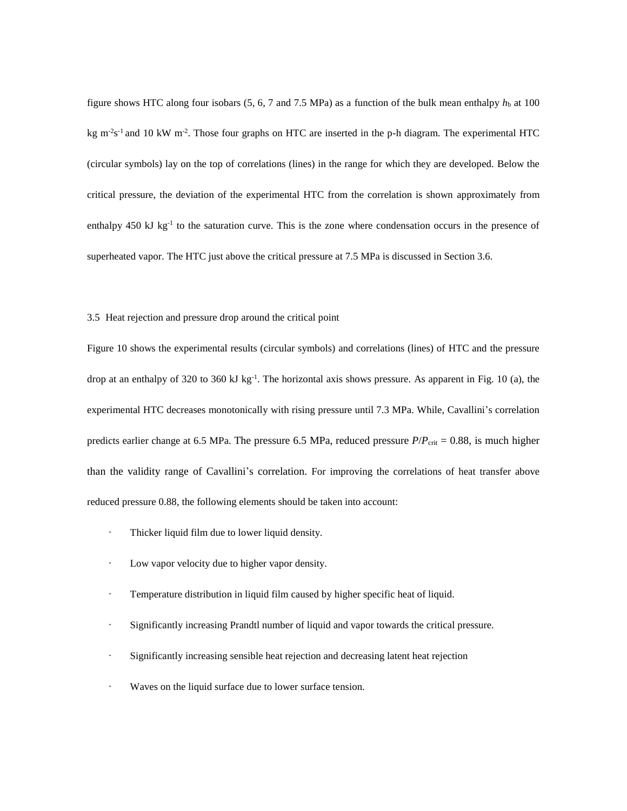figure shows HTC along four isobars (5, 6, 7 and 7.5 MPa) as a function of the bulk mean enthalpy  $h<sub>b</sub>$  at 100 kg  $m^2s$ <sup>-1</sup> and 10 kW  $m^2$ . Those four graphs on HTC are inserted in the p-h diagram. The experimental HTC (circular symbols) lay on the top of correlations (lines) in the range for which they are developed. Below the critical pressure, the deviation of the experimental HTC from the correlation is shown approximately from enthalpy 450 kJ kg<sup>-1</sup> to the saturation curve. This is the zone where condensation occurs in the presence of superheated vapor. The HTC just above the critical pressure at 7.5 MPa is discussed in Section 3.6.

### 3.5 Heat rejection and pressure drop around the critical point

Figure 10 shows the experimental results (circular symbols) and correlations (lines) of HTC and the pressure drop at an enthalpy of 320 to 360 kJ kg<sup>-1</sup>. The horizontal axis shows pressure. As apparent in Fig. 10 (a), the experimental HTC decreases monotonically with rising pressure until 7.3 MPa. While, Cavallini's correlation predicts earlier change at 6.5 MPa. The pressure 6.5 MPa, reduced pressure  $P/P_{\text{crit}} = 0.88$ , is much higher than the validity range of Cavallini's correlation. For improving the correlations of heat transfer above reduced pressure 0.88, the following elements should be taken into account:

- Thicker liquid film due to lower liquid density.
- Low vapor velocity due to higher vapor density.
- Temperature distribution in liquid film caused by higher specific heat of liquid.
- Significantly increasing Prandtl number of liquid and vapor towards the critical pressure.
- Significantly increasing sensible heat rejection and decreasing latent heat rejection
- Waves on the liquid surface due to lower surface tension.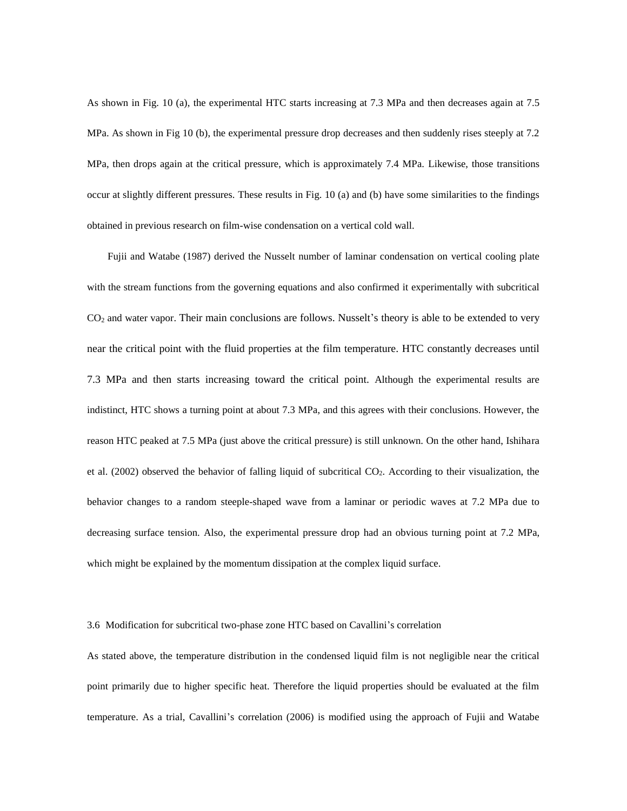As shown in Fig. 10 (a), the experimental HTC starts increasing at 7.3 MPa and then decreases again at 7.5 MPa. As shown in Fig 10 (b), the experimental pressure drop decreases and then suddenly rises steeply at 7.2 MPa, then drops again at the critical pressure, which is approximately 7.4 MPa. Likewise, those transitions occur at slightly different pressures. These results in Fig. 10 (a) and (b) have some similarities to the findings obtained in previous research on film-wise condensation on a vertical cold wall.

Fujii and Watabe (1987) derived the Nusselt number of laminar condensation on vertical cooling plate with the stream functions from the governing equations and also confirmed it experimentally with subcritical CO<sup>2</sup> and water vapor. Their main conclusions are follows. Nusselt's theory is able to be extended to very near the critical point with the fluid properties at the film temperature. HTC constantly decreases until 7.3 MPa and then starts increasing toward the critical point. Although the experimental results are indistinct, HTC shows a turning point at about 7.3 MPa, and this agrees with their conclusions. However, the reason HTC peaked at 7.5 MPa (just above the critical pressure) is still unknown. On the other hand, Ishihara et al. (2002) observed the behavior of falling liquid of subcritical CO2. According to their visualization, the behavior changes to a random steeple-shaped wave from a laminar or periodic waves at 7.2 MPa due to decreasing surface tension. Also, the experimental pressure drop had an obvious turning point at 7.2 MPa, which might be explained by the momentum dissipation at the complex liquid surface.

#### 3.6 Modification for subcritical two-phase zone HTC based on Cavallini's correlation

As stated above, the temperature distribution in the condensed liquid film is not negligible near the critical point primarily due to higher specific heat. Therefore the liquid properties should be evaluated at the film temperature. As a trial, Cavallini's correlation (2006) is modified using the approach of Fujii and Watabe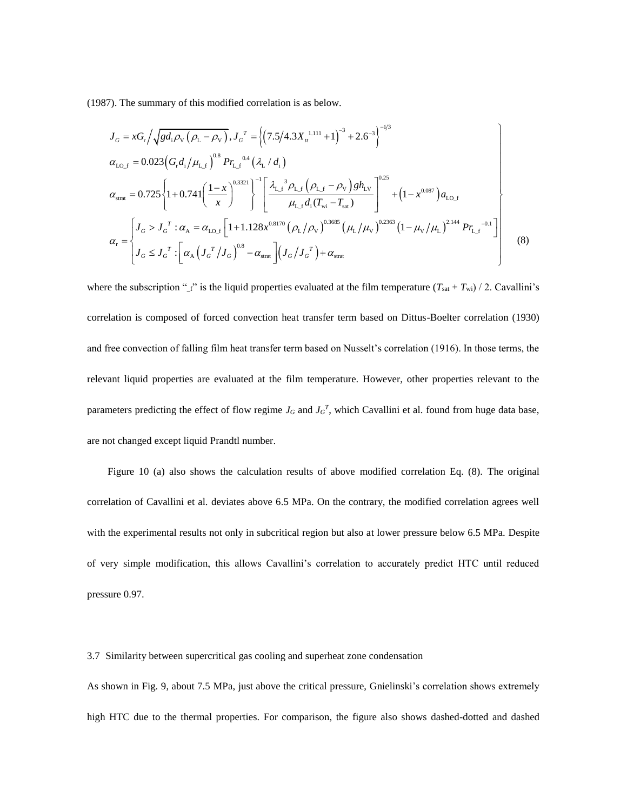(1987). The summary of this modified correlation is as below.  
\n
$$
J_G = xG_r / \sqrt{gd_i \rho_v (\rho_L - \rho_v)}, J_G^T = \left\{ (7.5/4.3X_n^{1.111} + 1)^{-3} + 2.6^{-3} \right\}^{-1/3}
$$
\n
$$
\alpha_{LO_f} = 0.023 (G_r d_i / \mu_{L_f})^{0.8} Pr_{L_f}^{0.4} (\lambda_L / d_i)
$$
\n
$$
\alpha_{\text{strat}} = 0.725 \left\{ 1 + 0.741 \left( \frac{1 - x}{x} \right)^{0.3321} \right\}^{-1} \left[ \frac{\lambda_{L_f}^{3} \rho_{L_f} (\rho_{L_f} - \rho_v) g h_{LV}}{\mu_{L_f} d_i (T_{wi} - T_{sat})} \right]^{-0.25} + (1 - x^{0.087}) a_{LO_f}
$$
\n
$$
\alpha_r = \left\{ J_G > J_G^T : \alpha_A = \alpha_{LO_f} \left[ 1 + 1.128x^{0.8170} (\rho_L / \rho_v)^{0.3685} (\mu_L / \mu_v)^{0.2363} (1 - \mu_v / \mu_L)^{2.144} Pr_{L_f}^{0.01} \right\}
$$
\n(8)

where the subscription " $f'$ " is the liquid properties evaluated at the film temperature  $(T_{sat} + T_{wi})$  / 2. Cavallini's correlation is composed of forced convection heat transfer term based on Dittus-Boelter correlation (1930) and free convection of falling film heat transfer term based on Nusselt's correlation (1916). In those terms, the relevant liquid properties are evaluated at the film temperature. However, other properties relevant to the parameters predicting the effect of flow regime  $J_G$  and  $J_G^T$ , which Cavallini et al. found from huge data base, are not changed except liquid Prandtl number.

Figure 10 (a) also shows the calculation results of above modified correlation Eq. (8). The original correlation of Cavallini et al. deviates above 6.5 MPa. On the contrary, the modified correlation agrees well with the experimental results not only in subcritical region but also at lower pressure below 6.5 MPa. Despite of very simple modification, this allows Cavallini's correlation to accurately predict HTC until reduced pressure 0.97.

3.7 Similarity between supercritical gas cooling and superheat zone condensation

As shown in Fig. 9, about 7.5 MPa, just above the critical pressure, Gnielinski's correlation shows extremely high HTC due to the thermal properties. For comparison, the figure also shows dashed-dotted and dashed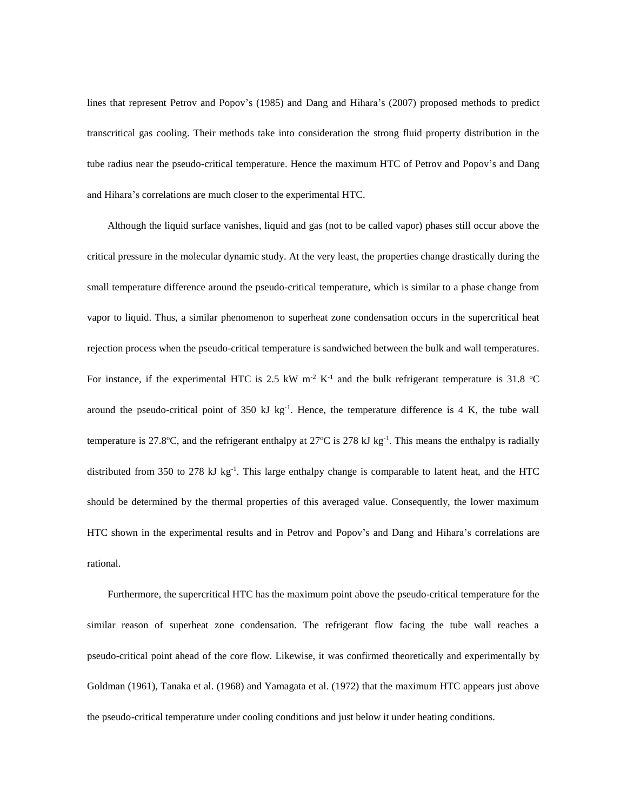lines that represent Petrov and Popov's (1985) and Dang and Hihara's (2007) proposed methods to predict transcritical gas cooling. Their methods take into consideration the strong fluid property distribution in the tube radius near the pseudo-critical temperature. Hence the maximum HTC of Petrov and Popov's and Dang and Hihara's correlations are much closer to the experimental HTC.

Although the liquid surface vanishes, liquid and gas (not to be called vapor) phases still occur above the critical pressure in the molecular dynamic study. At the very least, the properties change drastically during the small temperature difference around the pseudo-critical temperature, which is similar to a phase change from vapor to liquid. Thus, a similar phenomenon to superheat zone condensation occurs in the supercritical heat rejection process when the pseudo-critical temperature is sandwiched between the bulk and wall temperatures. For instance, if the experimental HTC is 2.5 kW  $m^2 K^1$  and the bulk refrigerant temperature is 31.8 °C around the pseudo-critical point of 350 kJ  $kg^{-1}$ . Hence, the temperature difference is 4 K, the tube wall temperature is 27.8°C, and the refrigerant enthalpy at 27°C is 278 kJ kg<sup>-1</sup>. This means the enthalpy is radially distributed from 350 to 278 kJ kg<sup>-1</sup>. This large enthalpy change is comparable to latent heat, and the HTC should be determined by the thermal properties of this averaged value. Consequently, the lower maximum HTC shown in the experimental results and in Petrov and Popov's and Dang and Hihara's correlations are rational.

Furthermore, the supercritical HTC has the maximum point above the pseudo-critical temperature for the similar reason of superheat zone condensation. The refrigerant flow facing the tube wall reaches a pseudo-critical point ahead of the core flow. Likewise, it was confirmed theoretically and experimentally by Goldman (1961), Tanaka et al. (1968) and Yamagata et al. (1972) that the maximum HTC appears just above the pseudo-critical temperature under cooling conditions and just below it under heating conditions.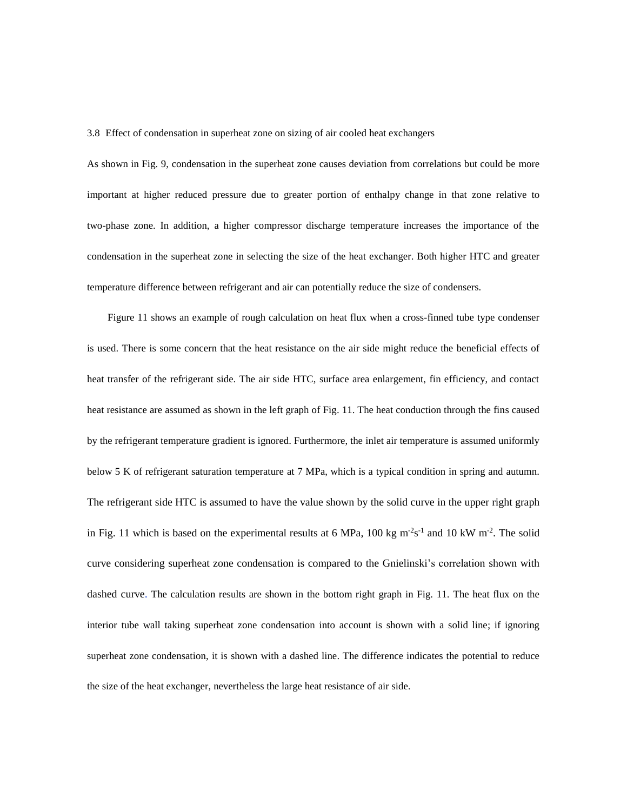3.8 Effect of condensation in superheat zone on sizing of air cooled heat exchangers

As shown in Fig. 9, condensation in the superheat zone causes deviation from correlations but could be more important at higher reduced pressure due to greater portion of enthalpy change in that zone relative to two-phase zone. In addition, a higher compressor discharge temperature increases the importance of the condensation in the superheat zone in selecting the size of the heat exchanger. Both higher HTC and greater temperature difference between refrigerant and air can potentially reduce the size of condensers.

Figure 11 shows an example of rough calculation on heat flux when a cross-finned tube type condenser is used. There is some concern that the heat resistance on the air side might reduce the beneficial effects of heat transfer of the refrigerant side. The air side HTC, surface area enlargement, fin efficiency, and contact heat resistance are assumed as shown in the left graph of Fig. 11. The heat conduction through the fins caused by the refrigerant temperature gradient is ignored. Furthermore, the inlet air temperature is assumed uniformly below 5 K of refrigerant saturation temperature at 7 MPa, which is a typical condition in spring and autumn. The refrigerant side HTC is assumed to have the value shown by the solid curve in the upper right graph in Fig. 11 which is based on the experimental results at 6 MPa, 100 kg  $m<sup>2</sup>s<sup>-1</sup>$  and 10 kW  $m<sup>-2</sup>$ . The solid curve considering superheat zone condensation is compared to the Gnielinski's correlation shown with dashed curve. The calculation results are shown in the bottom right graph in Fig. 11. The heat flux on the interior tube wall taking superheat zone condensation into account is shown with a solid line; if ignoring superheat zone condensation, it is shown with a dashed line. The difference indicates the potential to reduce the size of the heat exchanger, nevertheless the large heat resistance of air side.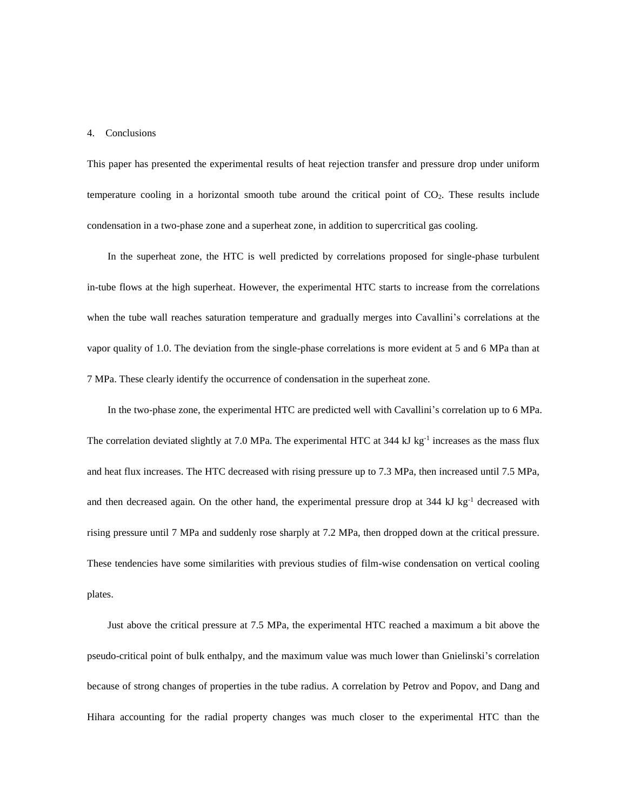#### 4. Conclusions

This paper has presented the experimental results of heat rejection transfer and pressure drop under uniform temperature cooling in a horizontal smooth tube around the critical point of  $CO<sub>2</sub>$ . These results include condensation in a two-phase zone and a superheat zone, in addition to supercritical gas cooling.

In the superheat zone, the HTC is well predicted by correlations proposed for single-phase turbulent in-tube flows at the high superheat. However, the experimental HTC starts to increase from the correlations when the tube wall reaches saturation temperature and gradually merges into Cavallini's correlations at the vapor quality of 1.0. The deviation from the single-phase correlations is more evident at 5 and 6 MPa than at 7 MPa. These clearly identify the occurrence of condensation in the superheat zone.

In the two-phase zone, the experimental HTC are predicted well with Cavallini's correlation up to 6 MPa. The correlation deviated slightly at 7.0 MPa. The experimental HTC at  $344 \mathrm{kJ\ kg\textsuperscript{-1}}$  increases as the mass flux and heat flux increases. The HTC decreased with rising pressure up to 7.3 MPa, then increased until 7.5 MPa, and then decreased again. On the other hand, the experimental pressure drop at 344 kJ kg<sup>-1</sup> decreased with rising pressure until 7 MPa and suddenly rose sharply at 7.2 MPa, then dropped down at the critical pressure. These tendencies have some similarities with previous studies of film-wise condensation on vertical cooling plates.

Just above the critical pressure at 7.5 MPa, the experimental HTC reached a maximum a bit above the pseudo-critical point of bulk enthalpy, and the maximum value was much lower than Gnielinski's correlation because of strong changes of properties in the tube radius. A correlation by Petrov and Popov, and Dang and Hihara accounting for the radial property changes was much closer to the experimental HTC than the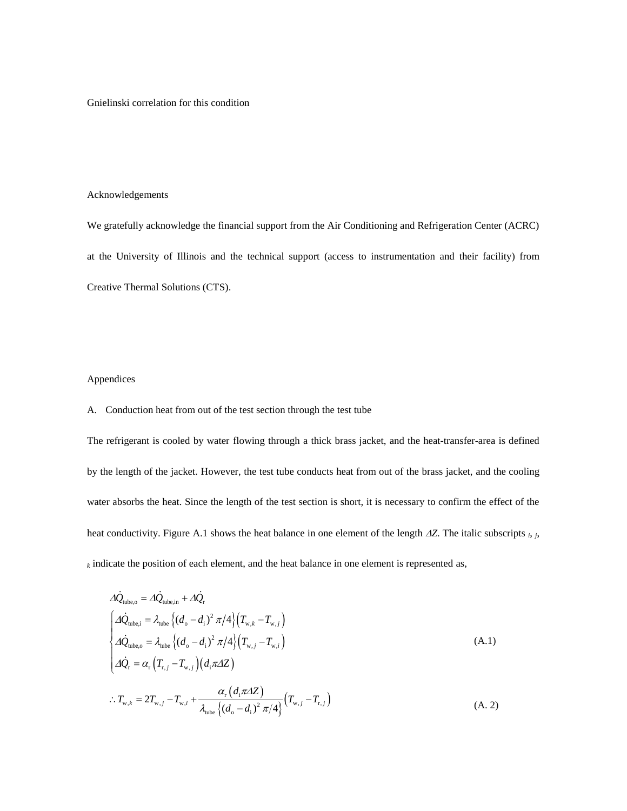Gnielinski correlation for this condition

#### Acknowledgements

We gratefully acknowledge the financial support from the Air Conditioning and Refrigeration Center (ACRC) at the University of Illinois and the technical support (access to instrumentation and their facility) from Creative Thermal Solutions (CTS).

#### Appendices

#### A. Conduction heat from out of the test section through the test tube

The refrigerant is cooled by water flowing through a thick brass jacket, and the heat-transfer-area is defined by the length of the jacket. However, the test tube conducts heat from out of the brass jacket, and the cooling water absorbs the heat. Since the length of the test section is short, it is necessary to confirm the effect of the heat conductivity. Figure A.1 shows the heat balance in one element of the length  $\Delta Z$ . The italic subscripts *i*, *j*,  $k$  indicate the position of each element, and the heat balance in one element is represented as,

$$
\Delta \dot{Q}_{\text{tube},0} = \Delta \dot{Q}_{\text{tube},\text{in}} + \Delta \dot{Q}_{\text{r}} \n\begin{cases}\nA \dot{Q}_{\text{tube},i} = \lambda_{\text{tube}} \left\{ (d_{o} - d_{i})^{2} \pi / 4 \right\} \left( T_{\text{w},k} - T_{\text{w},j} \right) \\
A \dot{Q}_{\text{tube},0} = \lambda_{\text{tube}} \left\{ (d_{o} - d_{i})^{2} \pi / 4 \right\} \left( T_{\text{w},j} - T_{\text{w},i} \right) \\
A \dot{Q}_{\text{r}} = \alpha_{\text{r}} \left( T_{\text{r},j} - T_{\text{w},j} \right) \left( d_{i} \pi \Delta Z \right) \\
\therefore T_{\text{w},k} = 2 T_{\text{w},j} - T_{\text{w},i} + \frac{\alpha_{\text{r}} \left( d_{i} \pi \Delta Z \right)}{\lambda_{\text{tube}} \left\{ (d_{o} - d_{i})^{2} \pi / 4 \right\}} \left( T_{\text{w},j} - T_{\text{r},j} \right)\n\end{cases} \tag{A.2}
$$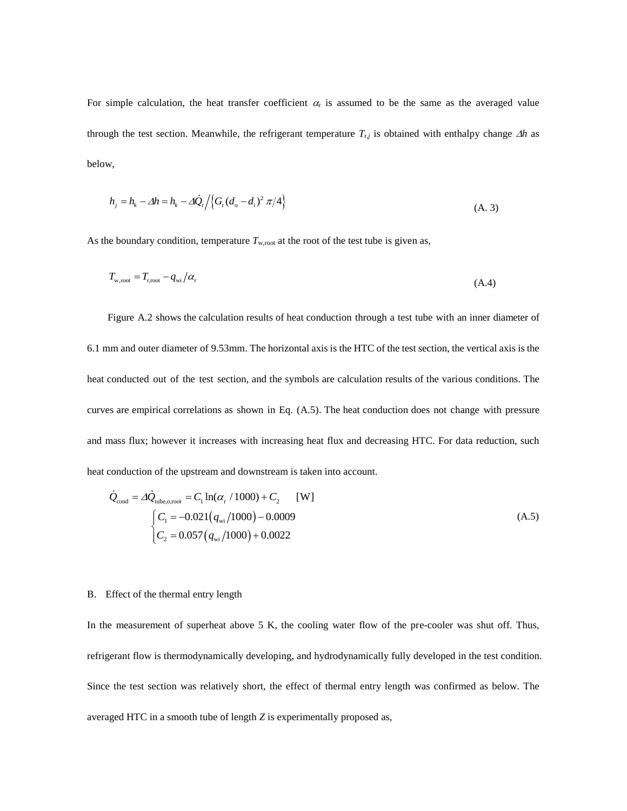For simple calculation, the heat transfer coefficient  $\alpha_r$  is assumed to be the same as the averaged value through the test section. Meanwhile, the refrigerant temperature  $T_{r,j}$  is obtained with enthalpy change  $\Delta h$  as below,

$$
h_j = h_k - \Delta h = h_k - \Delta \dot{Q}_r / \{ G_r (d_o - d_i)^2 \pi / 4 \}
$$
\n(A. 3)

As the boundary condition, temperature  $T_{w,root}$  at the root of the test tube is given as,

$$
T_{\text{w,root}} = T_{\text{r,root}} - q_{\text{wi}} / \alpha_{\text{r}} \tag{A.4}
$$

Figure A.2 shows the calculation results of heat conduction through a test tube with an inner diameter of 6.1 mm and outer diameter of 9.53mm. The horizontal axis is the HTC of the test section, the vertical axis is the heat conducted out of the test section, and the symbols are calculation results of the various conditions. The curves are empirical correlations as shown in Eq. (A.5). The heat conduction does not change with pressure and mass flux; however it increases with increasing heat flux and decreasing HTC. For data reduction, such heat conduction of the upstream and downstream is taken into account.

$$
\dot{Q}_{\text{cond}} = \Delta \dot{Q}_{\text{tube,o,root}} = C_1 \ln(\alpha_r / 1000) + C_2 \quad \text{[W]}
$$
\n
$$
\begin{cases}\nC_1 = -0.021(q_{\text{wi}}/1000) - 0.0009 \\
C_2 = 0.057(q_{\text{wi}}/1000) + 0.0022\n\end{cases} \tag{A.5}
$$

#### B. Effect of the thermal entry length

In the measurement of superheat above 5 K, the cooling water flow of the pre-cooler was shut off. Thus, refrigerant flow is thermodynamically developing, and hydrodynamically fully developed in the test condition. Since the test section was relatively short, the effect of thermal entry length was confirmed as below. The averaged HTC in a smooth tube of length *Z* is experimentally proposed as,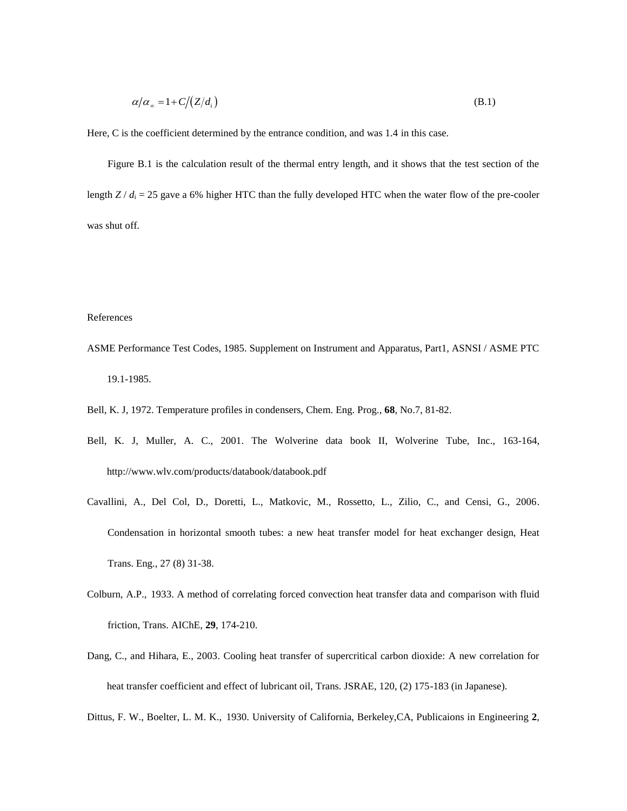$$
\alpha/\alpha_{\infty} = 1 + C/(Z/d_i) \tag{B.1}
$$

Here, C is the coefficient determined by the entrance condition, and was 1.4 in this case.

Figure B.1 is the calculation result of the thermal entry length, and it shows that the test section of the length  $Z/d_i = 25$  gave a 6% higher HTC than the fully developed HTC when the water flow of the pre-cooler was shut off.

## References

- ASME Performance Test Codes, 1985. Supplement on Instrument and Apparatus, Part1, ASNSI / ASME PTC 19.1-1985.
- Bell, K. J, 1972. Temperature profiles in condensers, Chem. Eng. Prog., **68**, No.7, 81-82.
- Bell, K. J, Muller, A. C., 2001. The Wolverine data book II, Wolverine Tube, Inc., 163-164, http://www.wlv.com/products/databook/databook.pdf
- Cavallini, A., Del Col, D., Doretti, L., Matkovic, M., Rossetto, L., Zilio, C., and Censi, G., 2006. Condensation in horizontal smooth tubes: a new heat transfer model for heat exchanger design, Heat Trans. Eng., 27 (8) 31-38.
- Colburn, A.P., 1933. A method of correlating forced convection heat transfer data and comparison with fluid friction, Trans. AIChE, **29**, 174-210.
- Dang, C., and Hihara, E., 2003. Cooling heat transfer of supercritical carbon dioxide: A new correlation for heat transfer coefficient and effect of lubricant oil, Trans. JSRAE, 120, (2) 175-183 (in Japanese).

Dittus, F. W., Boelter, L. M. K., 1930. University of California, Berkeley,CA, Publicaions in Engineering **2**,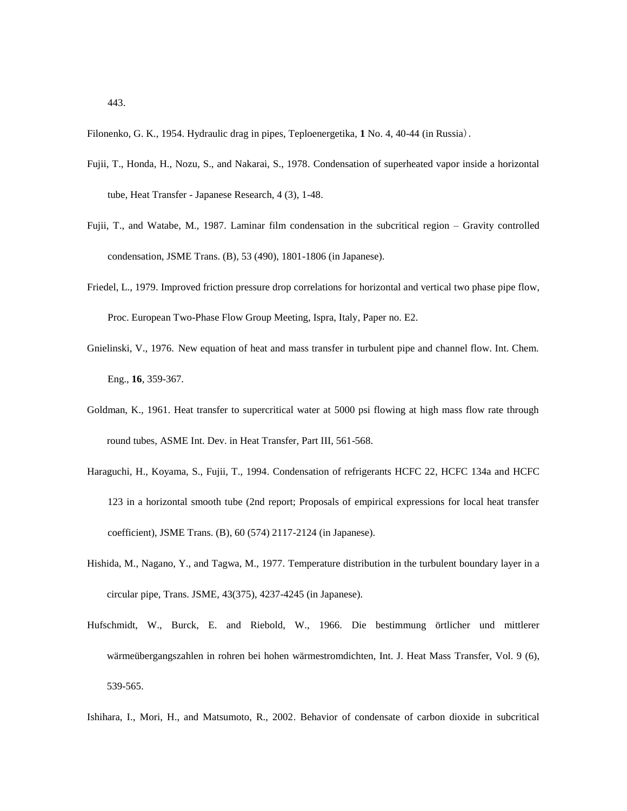Filonenko, G. K., 1954. Hydraulic drag in pipes, Teploenergetika, **1** No. 4, 40-44 (in Russia).

- Fujii, T., Honda, H., Nozu, S., and Nakarai, S., 1978. Condensation of superheated vapor inside a horizontal tube, Heat Transfer - Japanese Research, 4 (3), 1-48.
- Fujii, T., and Watabe, M., 1987. Laminar film condensation in the subcritical region Gravity controlled condensation, JSME Trans. (B), 53 (490), 1801-1806 (in Japanese).
- Friedel, L., 1979. Improved friction pressure drop correlations for horizontal and vertical two phase pipe flow, Proc. European Two-Phase Flow Group Meeting, Ispra, Italy, Paper no. E2.
- Gnielinski, V., 1976. New equation of heat and mass transfer in turbulent pipe and channel flow. Int. Chem. Eng., **16**, 359-367.
- Goldman, K., 1961. Heat transfer to supercritical water at 5000 psi flowing at high mass flow rate through round tubes, ASME Int. Dev. in Heat Transfer, Part III, 561-568.
- Haraguchi, H., Koyama, S., Fujii, T., 1994. Condensation of refrigerants HCFC 22, HCFC 134a and HCFC 123 in a horizontal smooth tube (2nd report; Proposals of empirical expressions for local heat transfer coefficient), JSME Trans. (B), 60 (574) 2117-2124 (in Japanese).
- Hishida, M., Nagano, Y., and Tagwa, M., 1977. Temperature distribution in the turbulent boundary layer in a circular pipe, Trans. JSME, 43(375), 4237-4245 (in Japanese).
- Hufschmidt, W., Burck, E. and Riebold, W., 1966. Die bestimmung örtlicher und mittlerer wärmeübergangszahlen in rohren bei hohen wärmestromdichten, Int. J. Heat Mass Transfer, Vol. 9 (6), 539-565.
- Ishihara, I., Mori, H., and Matsumoto, R., 2002. Behavior of condensate of carbon dioxide in subcritical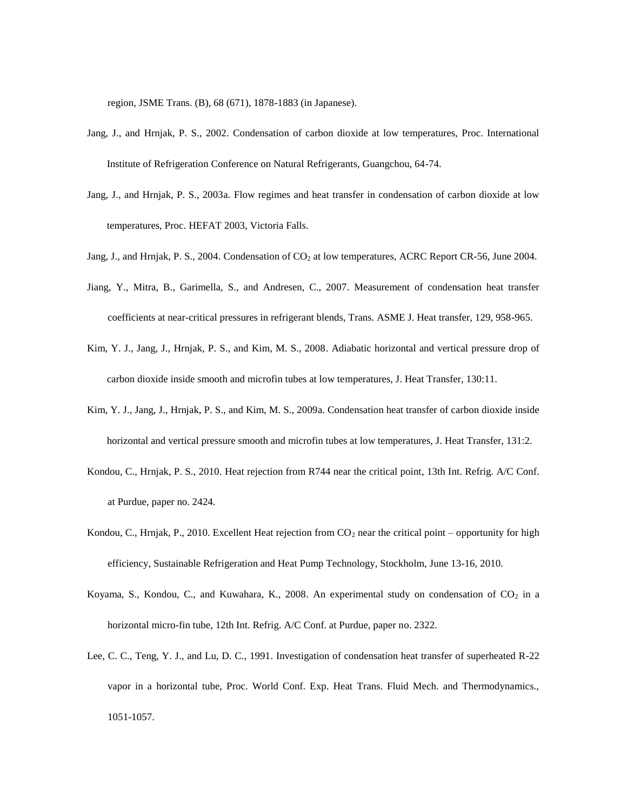region, JSME Trans. (B), 68 (671), 1878-1883 (in Japanese).

- Jang, J., and Hrnjak, P. S., 2002. Condensation of carbon dioxide at low temperatures, Proc. International Institute of Refrigeration Conference on Natural Refrigerants, Guangchou, 64-74.
- Jang, J., and Hrnjak, P. S., 2003a. Flow regimes and heat transfer in condensation of carbon dioxide at low temperatures, Proc. HEFAT 2003, Victoria Falls.
- Jang, J., and Hrnjak, P. S., 2004. Condensation of CO<sub>2</sub> at low temperatures, ACRC Report CR-56, June 2004.
- Jiang, Y., Mitra, B., Garimella, S., and Andresen, C., 2007. Measurement of condensation heat transfer coefficients at near-critical pressures in refrigerant blends, Trans. ASME J. Heat transfer, 129, 958-965.
- Kim, Y. J., Jang, J., Hrnjak, P. S., and Kim, M. S., 2008. Adiabatic horizontal and vertical pressure drop of carbon dioxide inside smooth and microfin tubes at low temperatures, J. Heat Transfer, 130:11.
- Kim, Y. J., Jang, J., Hrnjak, P. S., and Kim, M. S., 2009a. Condensation heat transfer of carbon dioxide inside horizontal and vertical pressure smooth and microfin tubes at low temperatures, J. Heat Transfer, 131:2.
- Kondou, C., Hrnjak, P. S., 2010. Heat rejection from R744 near the critical point, 13th Int. Refrig. A/C Conf. at Purdue, paper no. 2424.
- Kondou, C., Hrnjak, P., 2010. Excellent Heat rejection from  $CO<sub>2</sub>$  near the critical point opportunity for high efficiency, Sustainable Refrigeration and Heat Pump Technology, Stockholm, June 13-16, 2010.
- Koyama, S., Kondou, C., and Kuwahara, K., 2008. An experimental study on condensation of  $CO<sub>2</sub>$  in a horizontal micro-fin tube, 12th Int. Refrig. A/C Conf. at Purdue, paper no. 2322.
- Lee, C. C., Teng, Y. J., and Lu, D. C., 1991. Investigation of condensation heat transfer of superheated R-22 vapor in a horizontal tube, Proc. World Conf. Exp. Heat Trans. Fluid Mech. and Thermodynamics., 1051-1057.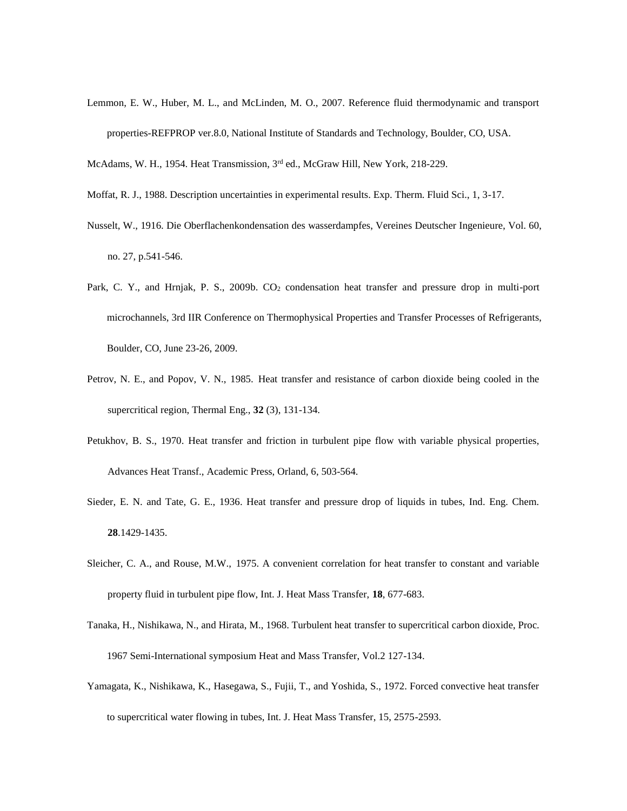- Lemmon, E. W., Huber, M. L., and McLinden, M. O., 2007. Reference fluid thermodynamic and transport properties-REFPROP ver.8.0, National Institute of Standards and Technology, Boulder, CO, USA.
- McAdams, W. H., 1954. Heat Transmission, 3<sup>rd</sup> ed., McGraw Hill, New York, 218-229.
- Moffat, R. J., 1988. Description uncertainties in experimental results. Exp. Therm. Fluid Sci., 1, 3-17.
- Nusselt, W., 1916. Die Oberflachenkondensation des wasserdampfes, Vereines Deutscher Ingenieure, Vol. 60, no. 27, p.541-546.
- Park, C. Y., and Hrnjak, P. S., 2009b. CO<sub>2</sub> condensation heat transfer and pressure drop in multi-port microchannels, 3rd IIR Conference on Thermophysical Properties and Transfer Processes of Refrigerants, Boulder, CO, June 23-26, 2009.
- Petrov, N. E., and Popov, V. N., 1985. Heat transfer and resistance of carbon dioxide being cooled in the supercritical region, Thermal Eng., **32** (3), 131-134.
- Petukhov, B. S., 1970. Heat transfer and friction in turbulent pipe flow with variable physical properties, Advances Heat Transf., Academic Press, Orland, 6, 503-564.
- Sieder, E. N. and Tate, G. E., 1936. Heat transfer and pressure drop of liquids in tubes, Ind. Eng. Chem. **28**.1429-1435.
- Sleicher, C. A., and Rouse, M.W., 1975. A convenient correlation for heat transfer to constant and variable property fluid in turbulent pipe flow, Int. J. Heat Mass Transfer, **18**, 677-683.
- Tanaka, H., Nishikawa, N., and Hirata, M., 1968. Turbulent heat transfer to supercritical carbon dioxide, Proc. 1967 Semi-International symposium Heat and Mass Transfer, Vol.2 127-134.
- Yamagata, K., Nishikawa, K., Hasegawa, S., Fujii, T., and Yoshida, S., 1972. Forced convective heat transfer to supercritical water flowing in tubes, Int. J. Heat Mass Transfer, 15, 2575-2593.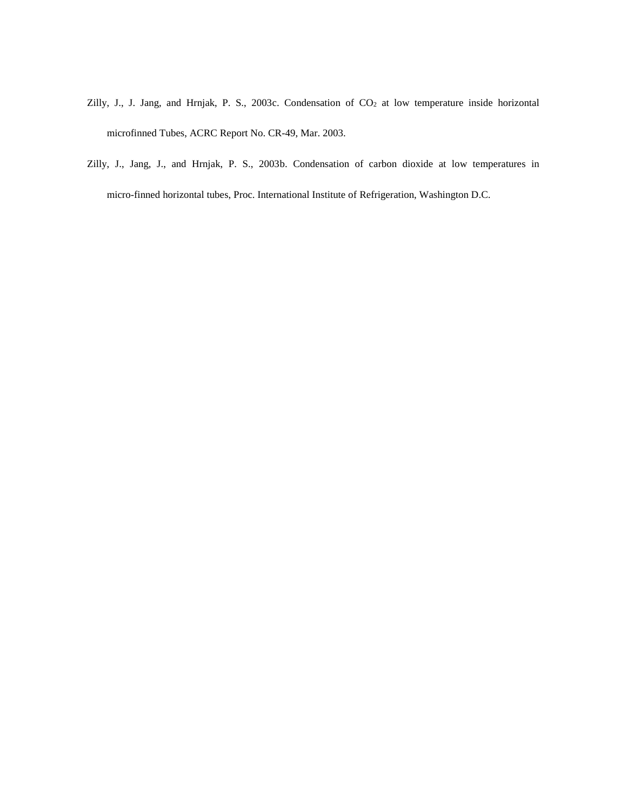- Zilly, J., J. Jang, and Hrnjak, P. S., 2003c. Condensation of CO<sub>2</sub> at low temperature inside horizontal microfinned Tubes, ACRC Report No. CR-49, Mar. 2003.
- Zilly, J., Jang, J., and Hrnjak, P. S., 2003b. Condensation of carbon dioxide at low temperatures in micro-finned horizontal tubes, Proc. International Institute of Refrigeration, Washington D.C.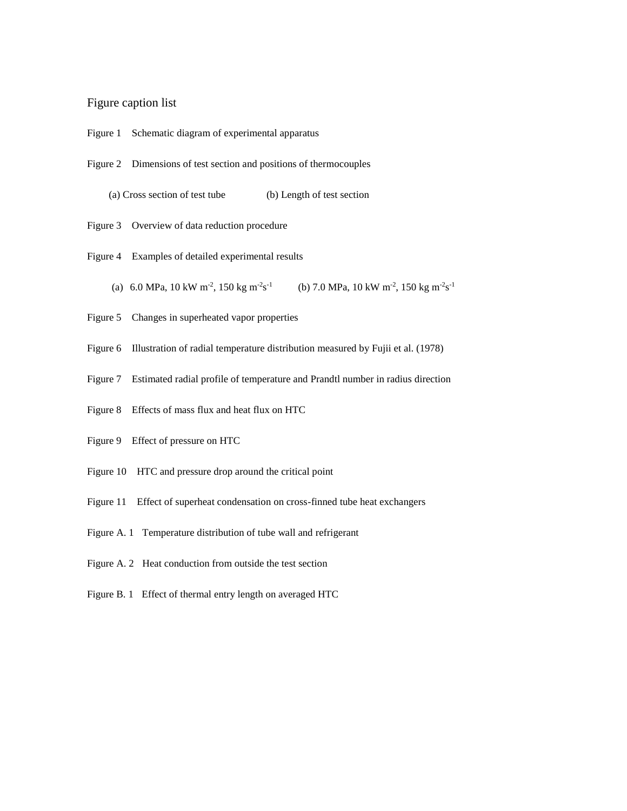## Figure caption list

- Figure 1 Schematic diagram of experimental apparatus
- Figure 2 Dimensions of test section and positions of thermocouples
	- (a) Cross section of test tube (b) Length of test section
- Figure 3 Overview of data reduction procedure
- Figure 4 Examples of detailed experimental results
	- (a) 6.0 MPa, 10 kW m<sup>-2</sup>, 150 kg m<sup>-2</sup>s<sup>-1</sup> (b) 7.0 MPa, 10 kW m<sup>-2</sup>, 150 kg m<sup>-2</sup>s<sup>-1</sup>
- Figure 5 Changes in superheated vapor properties
- Figure 6 Illustration of radial temperature distribution measured by Fujii et al. (1978)
- Figure 7 Estimated radial profile of temperature and Prandtl number in radius direction
- Figure 8 Effects of mass flux and heat flux on HTC
- Figure 9 Effect of pressure on HTC
- Figure 10 HTC and pressure drop around the critical point
- Figure 11 Effect of superheat condensation on cross-finned tube heat exchangers
- Figure A. 1 Temperature distribution of tube wall and refrigerant
- Figure A. 2 Heat conduction from outside the test section
- Figure B. 1 Effect of thermal entry length on averaged HTC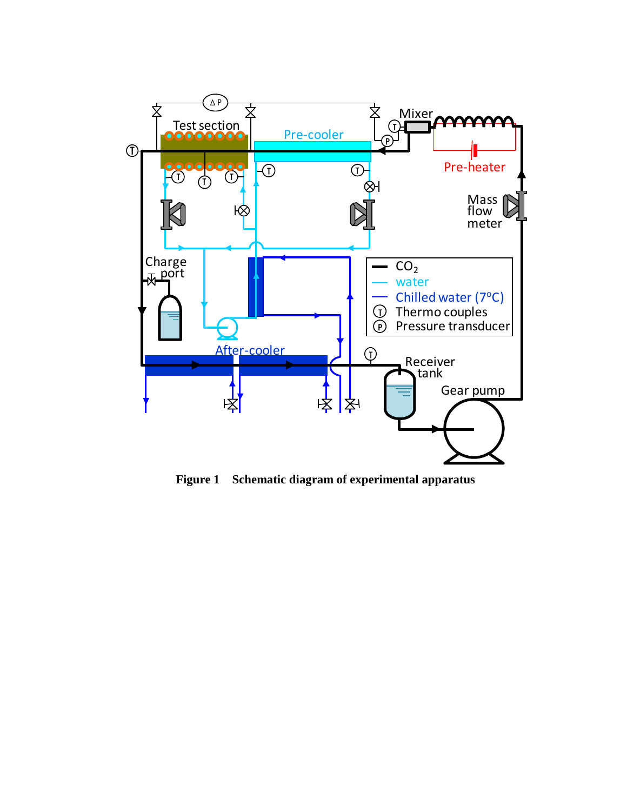

**Figure 1 Schematic diagram of experimental apparatus**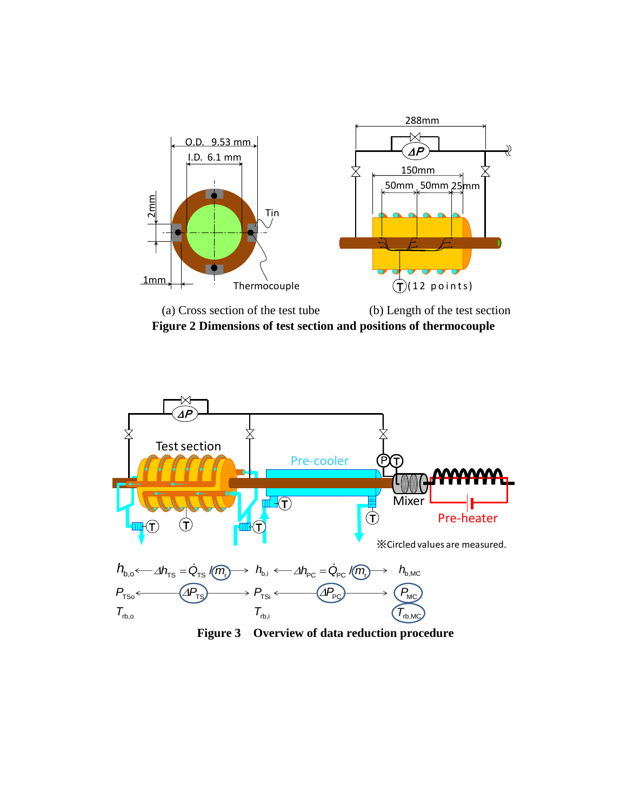

(a) Cross section of the test tube (b) Length of the test section **Figure 2 Dimensions of test section and positions of thermocouple**



**Figure 3 Overview of data reduction procedure**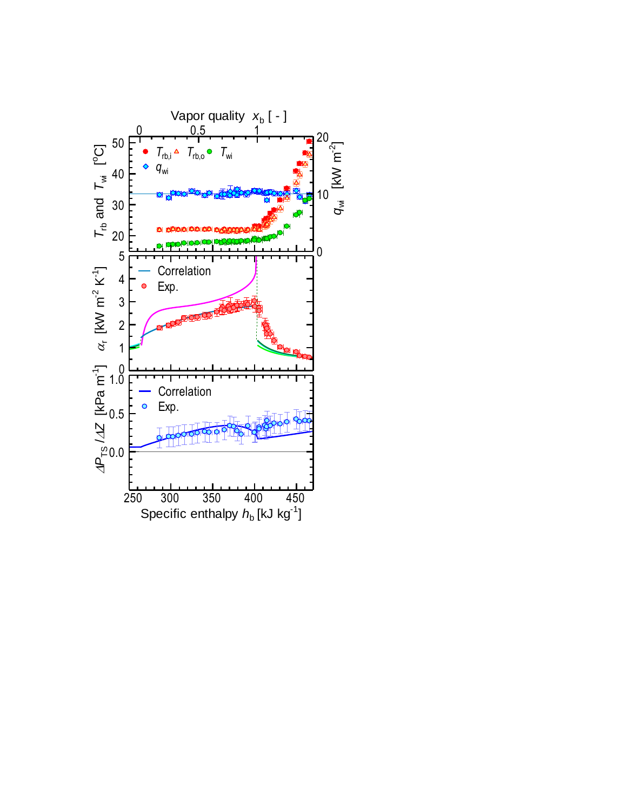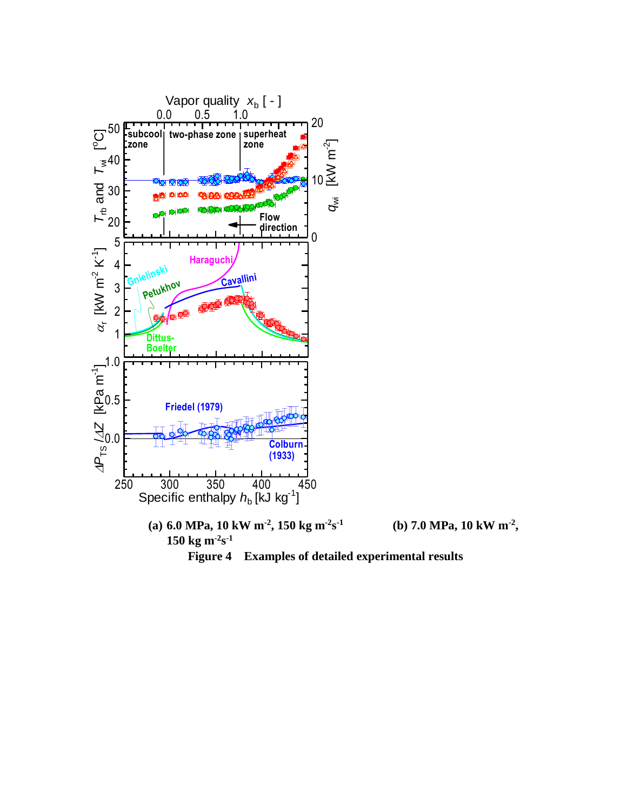

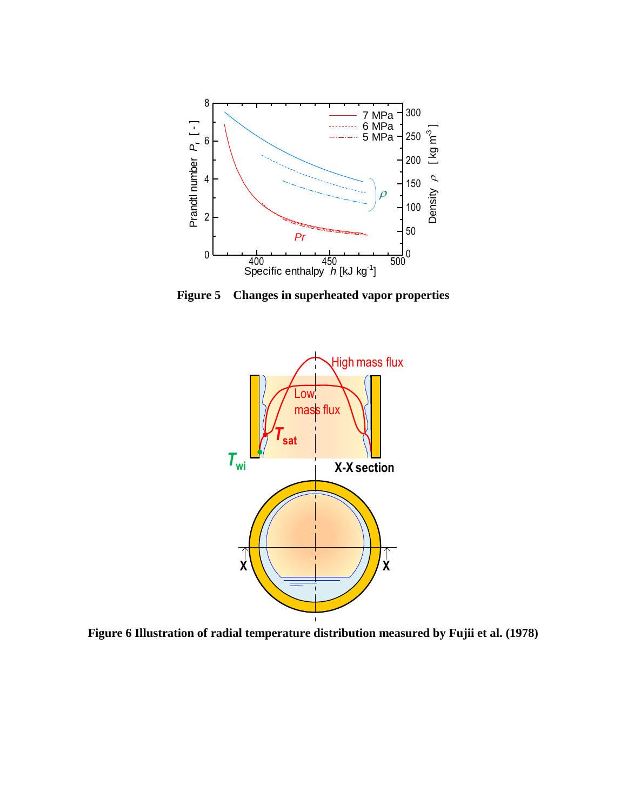

**Figure 5 Changes in superheated vapor properties**



**Figure 6 Illustration of radial temperature distribution measured by Fujii et al. (1978)**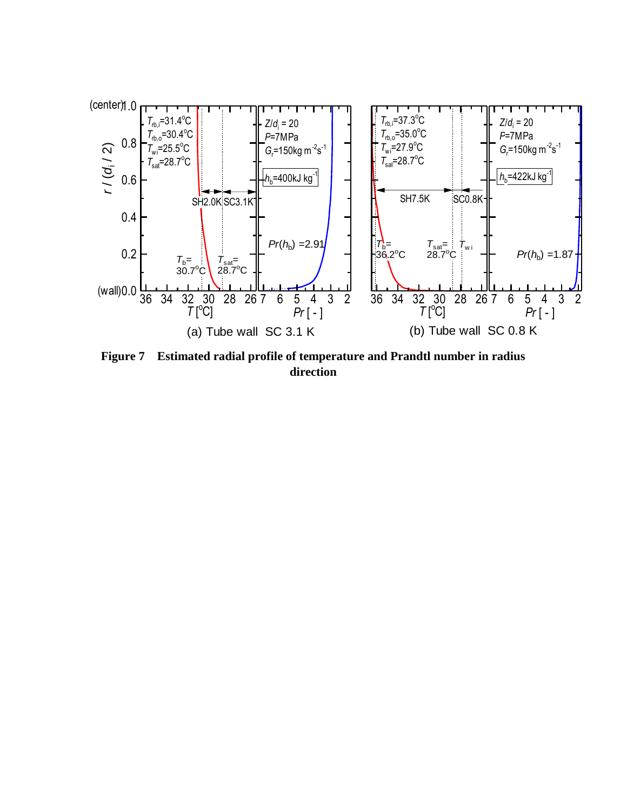

**Figure 7 Estimated radial profile of temperature and Prandtl number in radius direction**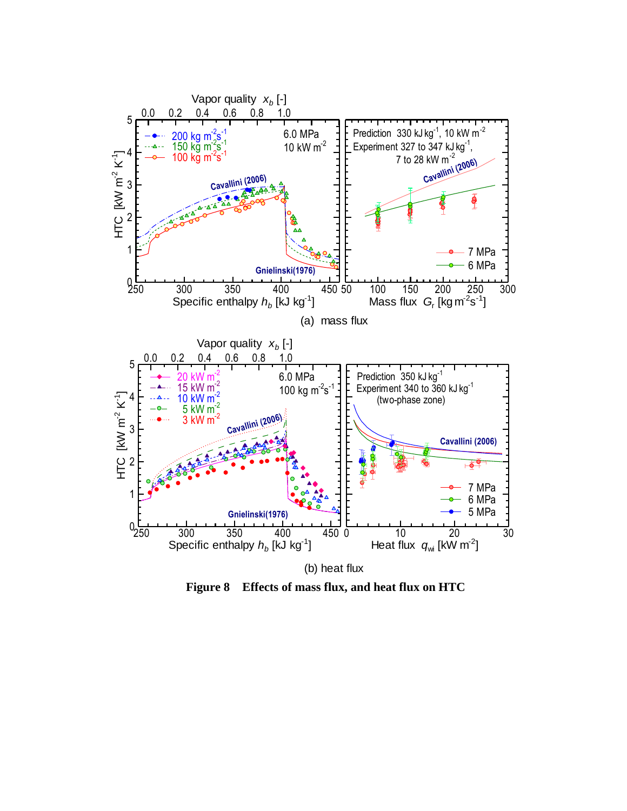

**Figure 8 Effects of mass flux, and heat flux on HTC**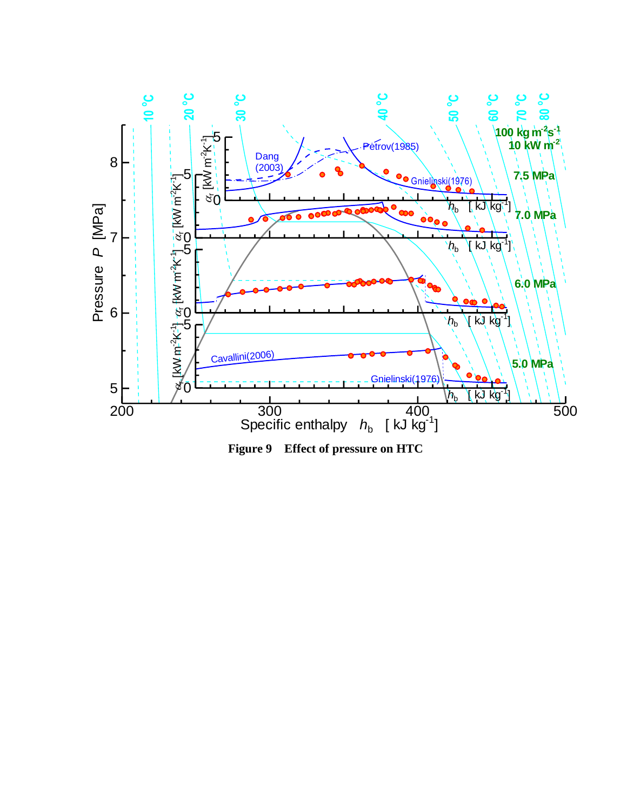

**Figure 9 Effect of pressure on HTC**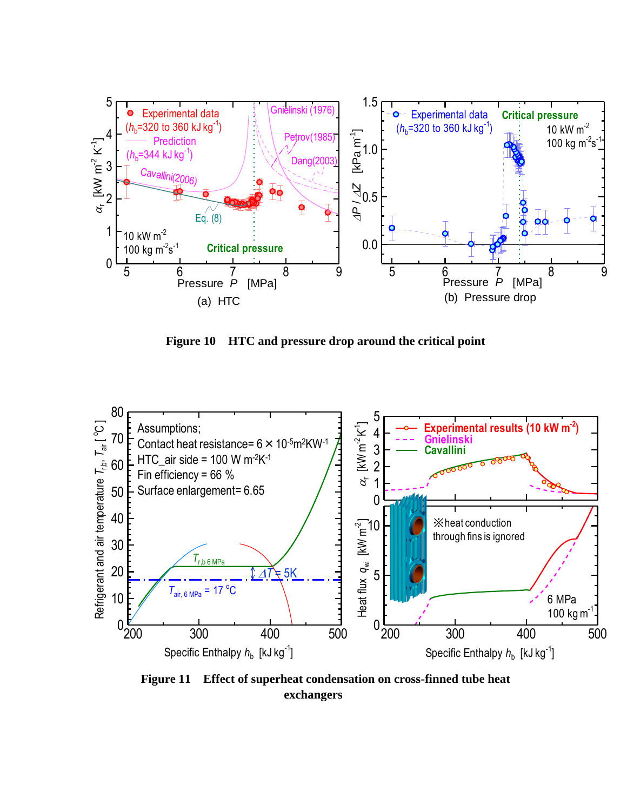

**Figure 10 HTC and pressure drop around the critical point**



**Figure 11 Effect of superheat condensation on cross-finned tube heat exchangers**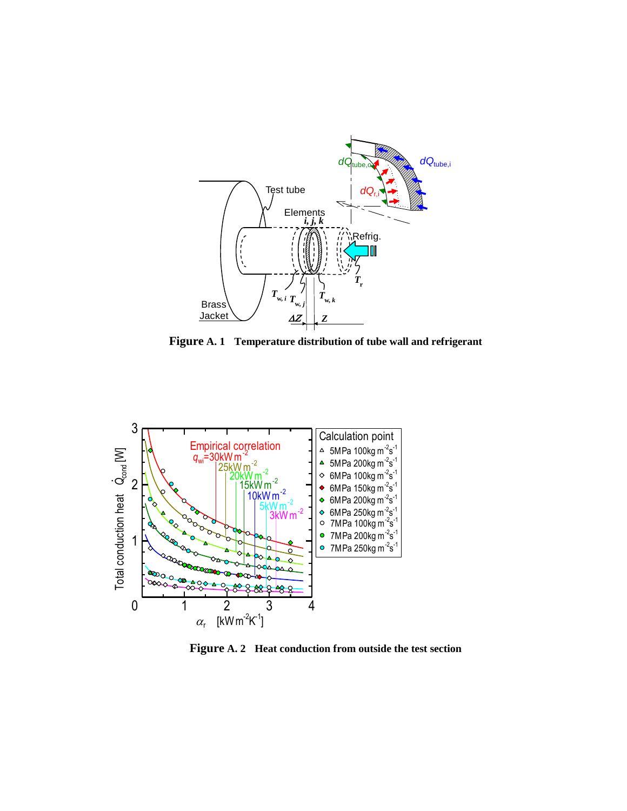

**Figure A. 1 Temperature distribution of tube wall and refrigerant**



**Figure A. 2 Heat conduction from outside the test section**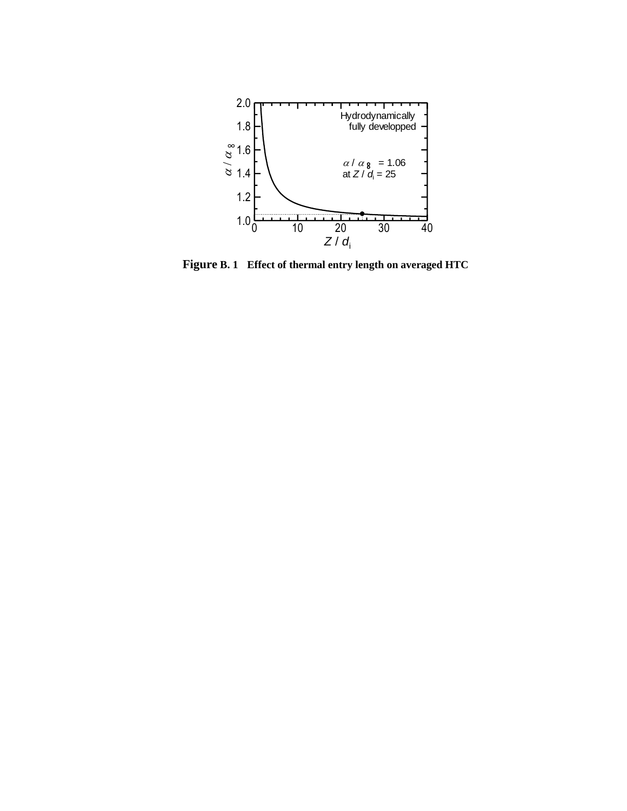

**Figure B. 1** Effect of thermal entry length on averaged HTC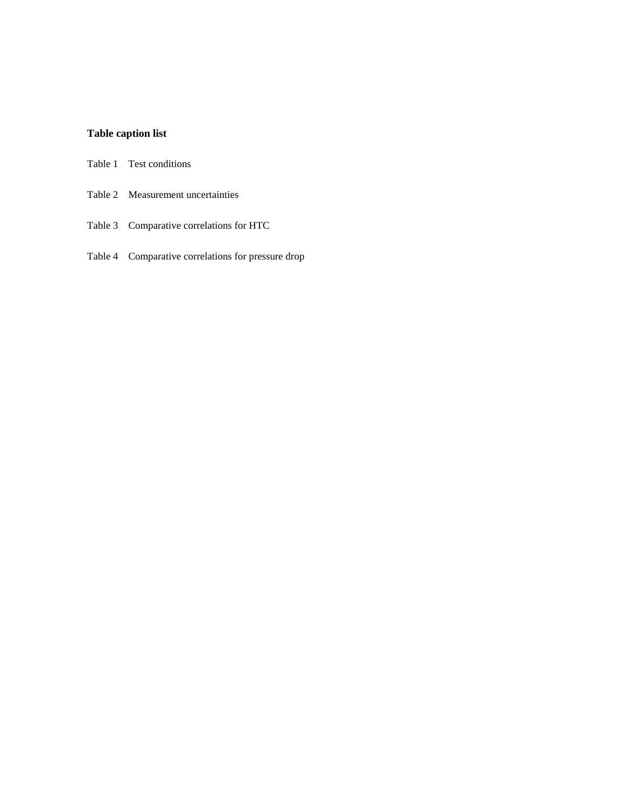# **Table caption list**

| Table 1 | Test conditions |
|---------|-----------------|
|---------|-----------------|

- Table 2 Measurement uncertainties
- Table 3 Comparative correlations for HTC
- Table 4 Comparative correlations for pressure drop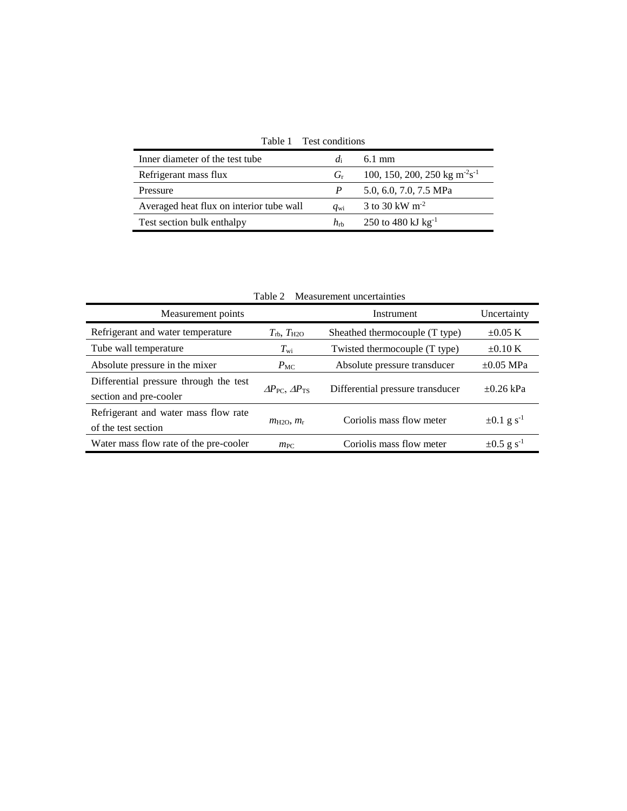| Table 1 Test conditions                  |                                       |                                                       |  |
|------------------------------------------|---------------------------------------|-------------------------------------------------------|--|
| Inner diameter of the test tube          | $d_i$                                 | $6.1 \text{ mm}$                                      |  |
| Refrigerant mass flux                    | $G_r$                                 | 100, 150, 200, 250 kg m <sup>-2</sup> s <sup>-1</sup> |  |
| Pressure                                 | P                                     | 5.0, 6.0, 7.0, 7.5 MPa                                |  |
| Averaged heat flux on interior tube wall | $q_{\rm wi}$                          | 3 to 30 kW $\rm m^2$                                  |  |
| Test section bulk enthalpy               | $h_{\scriptscriptstyle{\mathrm{rb}}}$ | 250 to 480 kJ $kg^{-1}$                               |  |

Table 2 Measurement uncertainties

| Measurement points                     |                                                 | Instrument                       | Uncertainty                 |
|----------------------------------------|-------------------------------------------------|----------------------------------|-----------------------------|
| Refrigerant and water temperature      | $T_{\rm rb}, T_{\rm H2O}$                       | Sheathed thermocouple (T type)   | $\pm 0.05$ K                |
| Tube wall temperature                  | $T_{\rm wi}$                                    | Twisted thermocouple (T type)    | $\pm 0.10$ K                |
| Absolute pressure in the mixer         | $P_{MC}$                                        | Absolute pressure transducer     | $\pm 0.05$ MPa              |
| Differential pressure through the test | $\Delta P_{\text{PC}}$ , $\Delta P_{\text{TS}}$ | Differential pressure transducer | $\pm 0.26$ kPa              |
| section and pre-cooler                 |                                                 |                                  |                             |
| Refrigerant and water mass flow rate   |                                                 | Coriolis mass flow meter         |                             |
| of the test section                    | $m_{\text{H2O}}, m_{\text{r}}$                  |                                  | $\pm 0.1$ g s <sup>-1</sup> |
| Water mass flow rate of the pre-cooler | $m_{\rm PC}$                                    | Coriolis mass flow meter         | $\pm 0.5$ g s <sup>-1</sup> |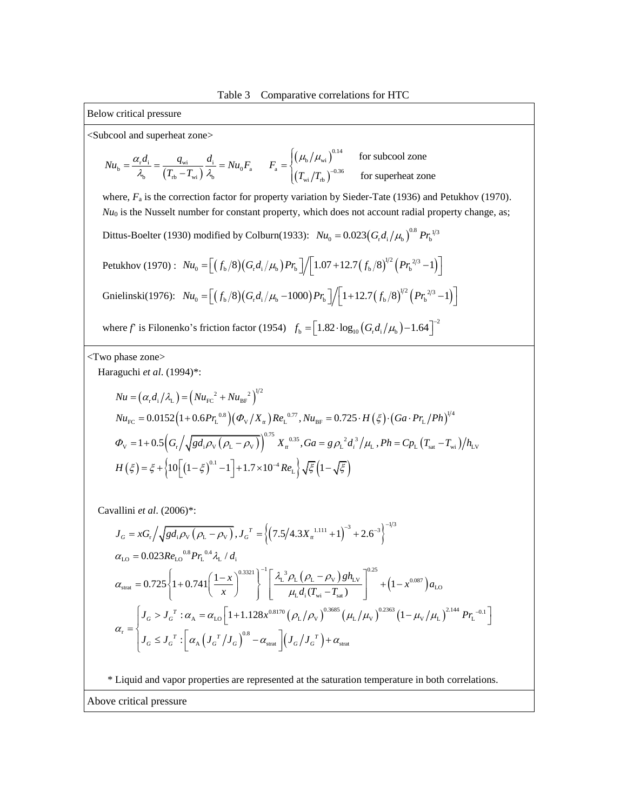

Cavallini *et al*. (2006)\*:

rallini *et al.* (2006)\*:  
\n
$$
J_G = xG_r \left/ \sqrt{gd_i \rho_v (\rho_L - \rho_v)}, J_G^T = \left\{ (7.5/4.3X_n^{1.111} + 1)^{-3} + 2.6^{-3} \right\}^{-1/3}
$$
\n
$$
\alpha_{LO} = 0.023Re_{LO}^{0.8} Pr_L^{0.4} \lambda_L / d_i
$$
\n
$$
\alpha_{\text{strat}} = 0.725 \left\{ 1 + 0.741 \left( \frac{1 - x}{x} \right)^{0.3321} \right\}^{-1} \left[ \frac{\lambda_L^3 \rho_L (\rho_L - \rho_v) gh_{LV}}{\mu_L d_i (T_{wi} - T_{sat})} \right]^{-0.25} + (1 - x^{0.087}) a_{LO}
$$
\n
$$
\alpha_r = \left\{ J_G > J_G^T : \alpha_A = \alpha_{LO} \left[ 1 + 1.128x^{0.8170} (\rho_L / \rho_v)^{0.3685} (\mu_L / \mu_v)^{0.2363} (1 - \mu_v / \mu_L)^{2.144} Pr_L^{-0.1} \right] \right\}
$$

\* Liquid and vapor properties are represented at the saturation temperature in both correlations. Above critical pressure